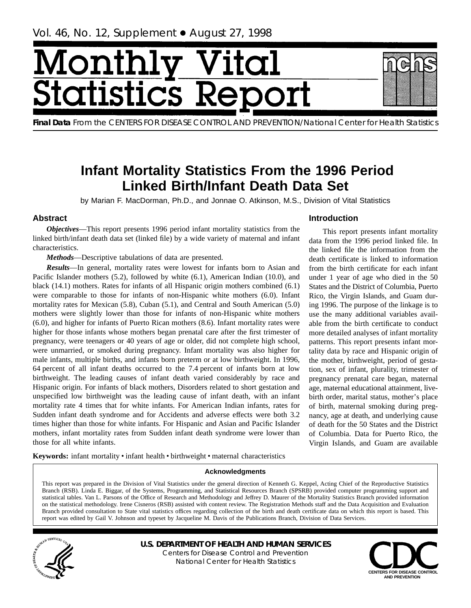# <span id="page-0-0"></span>[onth] **tatist** lics F

**Final Data** From the CENTERS FOR DISEASE CONTROL AND PREVENTION/National Center for Health Statistics

## **Infant Mortality Statistics From the 1996 Period Linked Birth/Infant Death Data Set**

by Marian F. MacDorman, Ph.D., and Jonnae O. Atkinson, M.S., Division of Vital Statistics

## **Abstract**

*Objectives*—This report presents 1996 period infant mortality statistics from the linked birth/infant death data set (linked file) by a wide variety of maternal and infant characteristics.

*Methods*—Descriptive tabulations of data are presented.

*Results*—In general, mortality rates were lowest for infants born to Asian and Pacific Islander mothers (5.2), followed by white (6.1), American Indian (10.0), and black (14.1) mothers. Rates for infants of all Hispanic origin mothers combined (6.1) were comparable to those for infants of non-Hispanic white mothers (6.0). Infant mortality rates for Mexican (5.8), Cuban (5.1), and Central and South American (5.0) mothers were slightly lower than those for infants of non-Hispanic white mothers (6.0), and higher for infants of Puerto Rican mothers (8.6). Infant mortality rates were higher for those infants whose mothers began prenatal care after the first trimester of pregnancy, were teenagers or 40 years of age or older, did not complete high school, were unmarried, or smoked during pregnancy. Infant mortality was also higher for male infants, multiple births, and infants born preterm or at low birthweight. In 1996, 64 percent of all infant deaths occurred to the 7.4 percent of infants born at low birthweight. The leading causes of infant death varied considerably by race and Hispanic origin. For infants of black mothers, Disorders related to short gestation and unspecified low birthweight was the leading cause of infant death, with an infant mortality rate 4 times that for white infants. For American Indian infants, rates for Sudden infant death syndrome and for Accidents and adverse effects were both 3.2 times higher than those for white infants. For Hispanic and Asian and Pacific Islander mothers, infant mortality rates from Sudden infant death syndrome were lower than those for all white infants.

## **Introduction**

This report presents infant mortality data from the 1996 period linked file. In the linked file the information from the death certificate is linked to information from the birth certificate for each infant under 1 year of age who died in the 50 States and the District of Columbia, Puerto Rico, the Virgin Islands, and Guam during 1996. The purpose of the linkage is to use the many additional variables available from the birth certificate to conduct more detailed analyses of infant mortality patterns. This report presents infant mortality data by race and Hispanic origin of the mother, birthweight, period of gestation, sex of infant, plurality, trimester of pregnancy prenatal care began, maternal age, maternal educational attainment, livebirth order, marital status, mother's place of birth, maternal smoking during pregnancy, age at death, and underlying cause of death for the 50 States and the District of Columbia. Data for Puerto Rico, the Virgin Islands, and Guam are available

Keywords: infant mortality · infant health · birthweight · maternal characteristics

## **Acknowledgments**

This report was prepared in the Division of Vital Statistics under the general direction of Kenneth G. Keppel, Acting Chief of the Reproductive Statistics Branch (RSB). Linda E. Biggar, of the Systems, Programming, and Statistical Resources Branch (SPSRB) provided computer programming support and statistical tables. Van L. Parsons of the Office of Research and Methodology and Jeffrey D. Maurer of the Mortality Statistics Branch provided information on the statistical methodology. Irene Cisneros (RSB) assisted with content review. The Registration Methods staff and the Data Acquisition and Evaluation Branch provided consultation to State vital statistics offices regarding collection of the birth and death certificate data on which this report is based. This report was edited by Gail V. Johnson and typeset by Jacqueline M. Davis of the Publications Branch, Division of Data Services.



**U.S. DEPARTMENT OF HEALTH AND HUMAN SERVICES**

Centers for Disease Control and Prevention National Center for Health Statistics

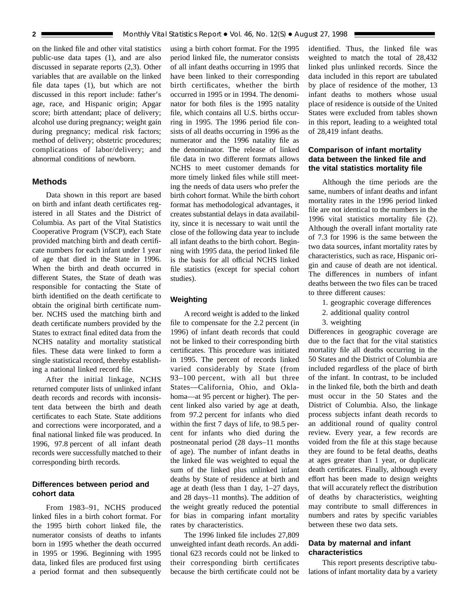<span id="page-1-0"></span>on the linked file and other vital statistics public-use data tapes (1), and are also discussed in separate reports (2,3). Other variables that are available on the linked file data tapes (1), but which are not discussed in this report include: father's age, race, and Hispanic origin; Apgar score; birth attendant; place of delivery; alcohol use during pregnancy; weight gain during pregnancy; medical risk factors; method of delivery; obstetric procedures; complications of labor/delivery; and abnormal conditions of newborn.

## **Methods**

Data shown in this report are based on birth and infant death certificates registered in all States and the District of Columbia. As part of the Vital Statistics Cooperative Program (VSCP), each State provided matching birth and death certificate numbers for each infant under 1 year of age that died in the State in 1996. When the birth and death occurred in different States, the State of death was responsible for contacting the State of birth identified on the death certificate to obtain the original birth certificate number. NCHS used the matching birth and death certificate numbers provided by the States to extract final edited data from the NCHS natality and mortality statistical files. These data were linked to form a single statistical record, thereby establishing a national linked record file.

After the initial linkage, NCHS returned computer lists of unlinked infant death records and records with inconsistent data between the birth and death certificates to each State. State additions and corrections were incorporated, and a final national linked file was produced. In 1996, 97.8 percent of all infant death records were successfully matched to their corresponding birth records.

## **Differences between period and cohort data**

From 1983–91, NCHS produced linked files in a birth cohort format. For the 1995 birth cohort linked file, the numerator consists of deaths to infants born in 1995 whether the death occurred in 1995 or 1996. Beginning with 1995 data, linked files are produced first using a period format and then subsequently

using a birth cohort format. For the 1995 period linked file, the numerator consists of all infant deaths occurring in 1995 that have been linked to their corresponding birth certificates, whether the birth occurred in 1995 or in 1994. The denominator for both files is the 1995 natality file, which contains all U.S. births occurring in 1995. The 1996 period file consists of all deaths occurring in 1996 as the numerator and the 1996 natality file as the denominator. The release of linked file data in two different formats allows NCHS to meet customer demands for more timely linked files while still meeting the needs of data users who prefer the birth cohort format. While the birth cohort format has methodological advantages, it creates substantial delays in data availability, since it is necessary to wait until the close of the following data year to include all infant deaths to the birth cohort. Beginning with 1995 data, the period linked file is the basis for all official NCHS linked file statistics (except for special cohort studies).

## **Weighting**

A record weight is added to the linked file to compensate for the 2.2 percent (in 1996) of infant death records that could not be linked to their corresponding birth certificates. This procedure was initiated in 1995. The percent of records linked varied considerably by State (from 93–100 percent, with all but three States—California, Ohio, and Oklahoma—at 95 percent or higher). The percent linked also varied by age at death, from 97.2 percent for infants who died within the first 7 days of life, to 98.5 percent for infants who died during the postneonatal period (28 days–11 months of age). The number of infant deaths in the linked file was weighted to equal the sum of the linked plus unlinked infant deaths by State of residence at birth and age at death (less than 1 day,  $1-27$  days, and 28 days–11 months). The addition of the weight greatly reduced the potential for bias in comparing infant mortality rates by characteristics.

The 1996 linked file includes 27,809 unweighted infant death records. An additional 623 records could not be linked to their corresponding birth certificates because the birth certificate could not be identified. Thus, the linked file was weighted to match the total of 28,432 linked plus unlinked records. Since the data included in this report are tabulated by place of residence of the mother, 13 infant deaths to mothers whose usual place of residence is outside of the United States were excluded from tables shown in this report, leading to a weighted total of 28,419 infant deaths.

## **Comparison of infant mortality data between the linked file and the vital statistics mortality file**

Although the time periods are the same, numbers of infant deaths and infant mortality rates in the 1996 period linked file are not identical to the numbers in the 1996 vital statistics mortality file (2). Although the overall infant mortality rate of 7.3 for 1996 is the same between the two data sources, infant mortality rates by characteristics, such as race, Hispanic origin and cause of death are not identical. The differences in numbers of infant deaths between the two files can be traced to three different causes:

- 1. geographic coverage differences
- 2. additional quality control
- 3. weighting

Differences in geographic coverage are due to the fact that for the vital statistics mortality file all deaths occurring in the 50 States and the District of Columbia are included regardless of the place of birth of the infant. In contrast, to be included in the linked file, both the birth and death must occur in the 50 States and the District of Columbia. Also, the linkage process subjects infant death records to an additional round of quality control review. Every year, a few records are voided from the file at this stage because they are found to be fetal deaths, deaths at ages greater than 1 year, or duplicate death certificates. Finally, although every effort has been made to design weights that will accurately reflect the distribution of deaths by characteristics, weighting may contribute to small differences in numbers and rates by specific variables between these two data sets.

## **Data by maternal and infant characteristics**

This report presents descriptive tabulations of infant mortality data by a variety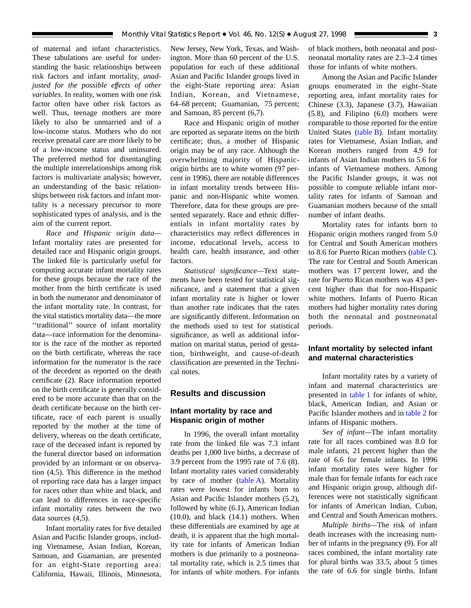<span id="page-2-0"></span>of maternal and infant characteristics. These tabulations are useful for understanding the basic relationships between risk factors and infant mortality, *unadjusted for the possible effects of other variables*. In reality, women with one risk factor often have other risk factors as well. Thus, teenage mothers are more likely to also be unmarried and of a low-income status. Mothers who do not receive prenatal care are more likely to be of a low-income status and uninsured. The preferred method for disentangling the multiple interrelationships among risk factors is multivariate analysis; however, an understanding of the basic relationships between risk factors and infant mortality is a necessary precursor to more sophisticated types of analysis, and is the aim of the current report.

*Race and Hispanic origin data—* Infant mortality rates are presented for detailed race and Hispanic origin groups. The linked file is particularly useful for computing accurate infant mortality rates for these groups because the race of the mother from the birth certificate is used in both the numerator and denominator of the infant mortality rate. In contrast, for the vital statistics mortality data—the more ''traditional'' source of infant mortality data—race information for the denominator is the race of the mother as reported on the birth certificate, whereas the race information for the numerator is the race of the decedent as reported on the death certificate (2). Race information reported on the birth certificate is generally considered to be more accurate than that on the death certificate because on the birth certificate, race of each parent is usually reported by the mother at the time of delivery, whereas on the death certificate, race of the deceased infant is reported by the funeral director based on information provided by an informant or on observation (4,5). This difference in the method of reporting race data has a larger impact for races other than white and black, and can lead to differences in race-specific infant mortality rates between the two data sources (4,5).

Infant mortality rates for five detailed Asian and Pacific Islander groups, including Vietnamese, Asian Indian, Korean, Samoan, and Guamanian, are presented for an eight-State reporting area: California, Hawaii, Illinois, Minnesota, New Jersey, New York, Texas, and Washington. More than 60 percent of the U.S. population for each of these additional Asian and Pacific Islander groups lived in the eight-State reporting area: Asian Indian, Korean, and Vietnamese, 64–68 percent; Guamanian, 75 percent; and Samoan, 85 percent (6,7).

Race and Hispanic origin of mother are reported as separate items on the birth certificate; thus, a mother of Hispanic origin may be of any race. Although the overwhelming majority of Hispanicorigin births are to white women (97 percent in 1996), there are notable differences in infant mortality trends between Hispanic and non-Hispanic white women. Therefore, data for these groups are presented separately. Race and ethnic differentials in infant mortality rates by characteristics may reflect differences in income, educational levels, access to health care, health insurance, and other factors.

*Statistical significance—*Text statements have been tested for statistical significance, and a statement that a given infant mortality rate is higher or lower than another rate indicates that the rates are significantly different. Information on the methods used to test for statistical significance, as well as additional information on marital status, period of gestation, birthweight, and cause-of-death classification are presented in the Technical notes.

## **Results and discussion**

## **Infant mortality by race and Hispanic origin of mother**

In 1996, the overall infant mortality rate from the linked file was 7.3 infant deaths per 1,000 live births, a decrease of 3.9 percent from the 1995 rate of 7.6 (8). Infant mortality rates varied considerably by race of moth[er \(table A\). M](#page-3-0)ortality rates were lowest for infants born to Asian and Pacific Islander mothers (5.2), followed by white (6.1), American Indian (10.0), and black (14.1) mothers. When these differentials are examined by age at death, it is apparent that the high mortality rate for infants of American Indian mothers is due primarily to a postneonatal mortality rate, which is 2.5 times that for infants of white mothers. For infants of black mothers, both neonatal and postneonatal mortality rates are 2.3–2.4 times those for infants of white mothers.

Among the Asian and Pacific Islander groups enumerated in the eight–State reporting area, infant mortality rates for Chinese (3.3), Japanese (3.7), Hawaiian (5.8), and Filipino (6.0) mothers were comparable to those reported for the entire United State[s \(table B\). In](#page-3-0)fant mortality rates for Vietnamese, Asian Indian, and Korean mothers ranged from 4.9 for infants of Asian Indian mothers to 5.6 for infants of Vietnamese mothers. Among the Pacific Islander groups, it was not possible to compute reliable infant mortality rates for infants of Samoan and Guamanian mothers because of the small number of infant deaths.

Mortality rates for infants born to Hispanic origin mothers ranged from 5.0 for Central and South American mothers to 8.6 for Puerto Rican mot[hers \(table C\).](#page-3-0) The rate for Central and South American mothers was 17 percent lower, and the rate for Puerto Rican mothers was 43 percent higher than that for non-Hispanic white mothers. Infants of Puerto Rican mothers had higher mortality rates during both the neonatal and postneonatal periods.

## **Infant mortality by selected infant and maternal characteristics**

Infant mortality rates by a variety of infant and maternal characteristics are presented in [table 1](#page-8-0) for infants of white, black, American Indian, and Asian or Pacific Islander mothers and in [table 2](#page-12-0) for infants of Hispanic mothers.

*Sex of infant—*The infant mortality rate for all races combined was 8.0 for male infants, 21 percent higher than the rate of 6.6 for female infants. In 1996 infant mortality rates were higher for male than for female infants for each race and Hispanic origin group, although differences were not statistically significant for infants of American Indian, Cuban, and Central and South American mothers.

*Multiple births—*The risk of infant death increases with the increasing number of infants in the pregnancy (9). For all races combined, the infant mortality rate for plural births was 33.5, about 5 times the rate of 6.6 for single births. Infant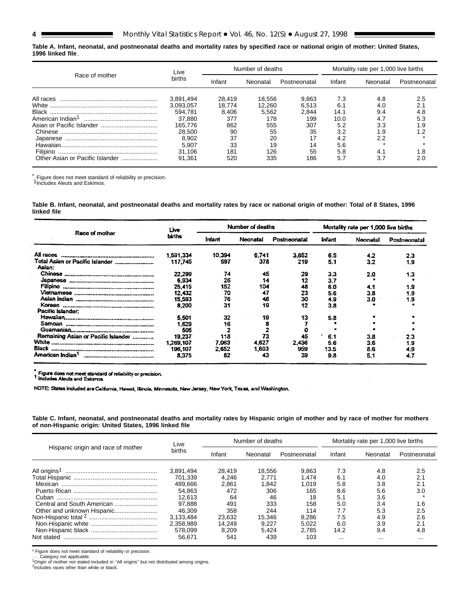#### **, 1996 linked file Table A. Infant, neonatal, and postneonatal deaths and mortality rates by specified race or national origin of mother: United States,**

| Race of mother                  | Live      |        | Number of deaths |              | Mortality rate per 1,000 live births |          |              |  |
|---------------------------------|-----------|--------|------------------|--------------|--------------------------------------|----------|--------------|--|
|                                 | births    | Infant | Neonatal         | Postneonatal | Infant                               | Neonatal | Postneonatal |  |
| All races                       | 3.891.494 | 28.419 | 18.556           | 9,863        | 7.3                                  | 4.8      | 2.5          |  |
| White                           | 3.093.057 | 18.774 | 12.260           | 6.513        | 6.1                                  | 4.0      | 2.1          |  |
| Black                           | 594.781   | 8.406  | 5.562            | 2.844        | 14.1                                 | 9.4      | 4.8          |  |
| American Indian <sup>1</sup>    | 37.880    | 377    | 178              | 199          | 10.0                                 | 4.7      | 5.3          |  |
|                                 | 165.776   | 862    | 555              | 307          | 5.2                                  | 3.3      | 1.9          |  |
|                                 | 28.500    | 90     | 55               | 35           | 3.2                                  | 1.9      | 19           |  |
| Japanese                        | 8.902     | 37     | 20               |              | 4.2                                  | 2.2      |              |  |
|                                 | 5.907     | 33     | 19               | 14           | 5.6                                  |          |              |  |
|                                 | 31.106    | 181    | 126              | 55           | 5.8                                  | 4.1      | 1.8          |  |
| Other Asian or Pacific Islander | 91.361    | 520    | 335              | 186          | 5.7                                  | 3.7      |              |  |

 $^*$  Figure does not meet standard of reliability or precision.<br><sup>1</sup>Includes Aleuts and Eskimos.

**Table B. Infant, neonatal, and postneonatal deaths and mortality rates by race or national origin of mother: Total of 8 States, 1996 linked file**

| Race of mother                            | Live      |               | Number of deaths |              | Mortality rate per 1,000 live births |          |              |  |
|-------------------------------------------|-----------|---------------|------------------|--------------|--------------------------------------|----------|--------------|--|
|                                           | births    | <b>Infant</b> | Neonatal         | Postneonatal | <b>Infant</b>                        | Neonatal | Postneonatal |  |
| asosn IIA                                 | 1.591.334 | 10,394        | 6.741            | 3.652        | 6.5                                  | 4.2      | 2.3          |  |
| Total Asian or Pacific Islander<br>Asian: | 117.745   | 597           | 378              | 219          | 5.1                                  | 3.2      | 1.9          |  |
|                                           | 22,299    | 74            | 45               | 29           | 3.3                                  | 2.0      | 1.3          |  |
|                                           | 6.934     | 26            | 14               | 12           | 3.7                                  |          |              |  |
|                                           | 25.415    | 152           | 104              | 48           | 6.0                                  | 4.1      | 1.9          |  |
|                                           | 12.432    | 70            | 47               | 23           | 5.6                                  | 3.8      | 1.9          |  |
|                                           | 15.593    | 76            | 46               | 30           | 4.9                                  | 3.0      | 9.۱          |  |
|                                           | 8.200     | 31            | 19               | 12           | 3.8                                  |          |              |  |
| Pacific Islander:                         |           |               |                  |              |                                      |          |              |  |
|                                           | 5.501     | 32            | 19               | 13           | 5.8                                  |          |              |  |
|                                           | 1.629     | 16            |                  |              |                                      |          |              |  |
|                                           | 505       |               |                  |              |                                      |          |              |  |
| Remaining Asian or Pacific Islander       | 19.237    | 118           | 73               | 45           | 6.1                                  | 3.8      | 2.3          |  |
|                                           | 1,269,107 | 7.063         | 4.627            | 2.436        | 5.6                                  | 3.6      | 1.9          |  |
|                                           | 196,107   | 2.652         | 1,693            | 959          | 13.5                                 | 8.6      | 4.9          |  |
| American Indian                           | 8,375     | 82            | 43               | 39           | 9.8                                  | 5.1      | 4.7          |  |

Figure does not meet standard of reliability or precision.<br>1 includes Aleuts and Eskimos.

NOTE: States included are California, Hawaii, Illinois, Minnesota, New Jersey, New York, Texas, and Washington,

**Table C. Infant, neonatal, and postneonatal deaths and mortality rates by Hispanic origin of mother and by race of mother for mothers of non-Hispanic origin: United States, 1996 linked file**

| Hispanic origin and race of mother | Live      |        | Number of deaths |              | Mortality rate per 1,000 live births |          |              |  |
|------------------------------------|-----------|--------|------------------|--------------|--------------------------------------|----------|--------------|--|
|                                    | births    | Infant | Neonatal         | Postneonatal | Infant                               | Neonatal | Postneonatal |  |
|                                    | 3.891,494 | 28.419 | 18.556           | 9.863        | 7.3                                  | 4.8      | 2.5          |  |
|                                    | 701.339   | 4.246  | 2.771            | 1.474        | 6.1                                  | 4.0      | 2.1          |  |
|                                    | 489.666   | 2.861  | 1.842            | 1.019        | 5.8                                  | 3.8      | 2.1          |  |
|                                    | 54.863    | 472    | 306              | 165          | 8.6                                  | 5.6      | 3.0          |  |
|                                    | 12.613    | 64     | 46               | 18           | 5.1                                  | 3.6      |              |  |
| Central and South American         | 97.888    | 491    | 333              | 158          | 5.0                                  | 3.4      | 1.6          |  |
| Other and unknown Hispanic         | 46.309    | 358    | 244              | 114          | 7.7                                  | 5.3      | 2.5          |  |
|                                    | 3.133.484 | 23.632 | 15.346           | 8.286        | 7.5                                  | 4.9      | 2.6          |  |
|                                    | 2.358.989 | 14.249 | 9.227            | 5.022        | 6.0                                  | 3.9      | 2.1          |  |
|                                    | 578.099   | 8.209  | 5.424            | 2.785        | 14.2                                 | 9.4      | 4.8          |  |
| Not stated                         | 56.671    | 541    | 439              | 103          | $\cdots$                             | $\cdots$ | .            |  |

\* Figure does not meet standard of reliability or precision.<br>. . . Category not applicable.<br><sup>1</sup>Origin of mother not stated included in "All origins" but not distributed among origins. <sup>2</sup>Includes races other than white or black.

<span id="page-3-0"></span>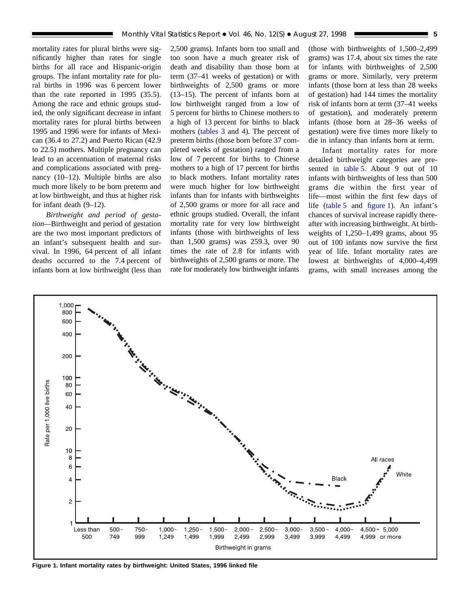mortality rates for plural births were significantly higher than rates for single births for all race and Hispanic-origin groups. The infant mortality rate for plural births in 1996 was 6 percent lower than the rate reported in 1995 (35.5). Among the race and ethnic groups studied, the only significant decrease in infant mortality rates for plural births between 1995 and 1996 were for infants of Mexican (36.4 to 27.2) and Puerto Rican (42.9 to 22.5) mothers. Multiple pregnancy can lead to an accentuation of maternal risks and complications associated with pregnancy (10–12). Multiple births are also much more likely to be born preterm and at low birthweight, and thus at higher risk for infant death (9–12).

*Birthweight and period of gestation—*Birthweight and period of gestation are the two most important predictors of an infant's subsequent health and survival. In 1996, 64 percent of all infant deaths occurred to the 7.4 percent of infants born at low birthweight (less than 2,500 grams). Infants born too small and too soon have a much greater risk of death and disability than those born at term (37–41 weeks of gestation) or with birthweights of 2,500 grams or more (13–15). The percent of infants born at low birthweight ranged from a low of 5 percent for births to Chinese mothers to a high of 13 percent for births to black mot[hers \(tables 3](#page-16-0) and [4\). The](#page-17-0) percent of preterm births (those born before 37 completed weeks of gestation) ranged from a low of 7 percent for births to Chinese mothers to a high of 17 percent for births to black mothers. Infant mortality rates were much higher for low birthweight infants than for infants with birthweights of 2,500 grams or more for all race and ethnic groups studied. Overall, the infant mortality rate for very low birthweight infants (those with birthweights of less than 1,500 grams) was 259.3, over 90 times the rate of 2.8 for infants with birthweights of 2,500 grams or more. The rate for moderately low birthweight infants

(those with birthweights of 1,500–2,499 grams) was 17.4, about six times the rate for infants with birthweights of 2,500 grams or more. Similarly, very preterm infants (those born at less than 28 weeks of gestation) had 144 times the mortality risk of infants born at term (37–41 weeks of gestation), and moderately preterm infants (those born at 28–36 weeks of gestation) were five times more likely to die in infancy than infants born at term.

Infant mortality rates for more detailed birthweight categories are presented in [table 5. Ab](#page-18-0)out 9 out of 10 infants with birthweights of less than 500 grams die within the first year of life—most within the first few days of l[ife \(table 5](#page-18-0) and figure 1). An infant's chances of survival increase rapidly thereafter with increasing birthweight. At birthweights of 1,250–1,499 grams, about 95 out of 100 infants now survive the first year of life. Infant mortality rates are lowest at birthweights of 4,000–4,499 grams, with small increases among the



**Figure 1. Infant mortality rates by birthweight: United States, 1996 linked file**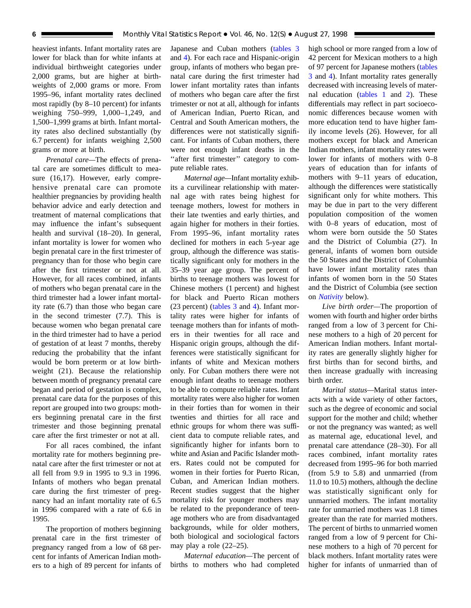heaviest infants. Infant mortality rates are lower for black than for white infants at individual birthweight categories under 2,000 grams, but are higher at birthweights of 2,000 grams or more. From 1995–96, infant mortality rates declined most rapidly (by 8–10 percent) for infants weighing 750–999, 1,000–1,249, and 1,500–1,999 grams at birth. Infant mortality rates also declined substantially (by 6.7 percent) for infants weighing 2,500 grams or more at birth.

*Prenatal care—*The effects of prenatal care are sometimes difficult to measure (16,17). However, early comprehensive prenatal care can promote healthier pregnancies by providing health behavior advice and early detection and treatment of maternal complications that may influence the infant's subsequent health and survival (18–20). In general, infant mortality is lower for women who begin prenatal care in the first trimester of pregnancy than for those who begin care after the first trimester or not at all. However, for all races combined, infants of mothers who began prenatal care in the third trimester had a lower infant mortality rate (6.7) than those who began care in the second trimester (7.7). This is because women who began prenatal care in the third trimester had to have a period of gestation of at least 7 months, thereby reducing the probability that the infant would be born preterm or at low birthweight (21). Because the relationship between month of pregnancy prenatal care began and period of gestation is complex, prenatal care data for the purposes of this report are grouped into two groups: mothers beginning prenatal care in the first trimester and those beginning prenatal care after the first trimester or not at all.

For all races combined, the infant mortality rate for mothers beginning prenatal care after the first trimester or not at all fell from 9.9 in 1995 to 9.3 in 1996. Infants of mothers who began prenatal care during the first trimester of pregnancy had an infant mortality rate of 6.5 in 1996 compared with a rate of 6.6 in 1995.

The proportion of mothers beginning prenatal care in the first trimester of pregnancy ranged from a low of 68 percent for infants of American Indian mothers to a high of 89 percent for infants of Japanese and Cuban mother[s \(tables 3](#page-16-0) and [4\). Fo](#page-17-0)r each race and Hispanic-origin group, infants of mothers who began prenatal care during the first trimester had lower infant mortality rates than infants of mothers who began care after the first trimester or not at all, although for infants of American Indian, Puerto Rican, and Central and South American mothers, the differences were not statistically significant. For infants of Cuban mothers, there were not enough infant deaths in the "after first trimester" category to compute reliable rates.

*Maternal age—*Infant mortality exhibits a curvilinear relationship with maternal age with rates being highest for teenage mothers, lowest for mothers in their late twenties and early thirties, and again higher for mothers in their forties. From 1995–96, infant mortality rates declined for mothers in each 5-year age group, although the difference was statistically significant only for mothers in the 35–39 year age group. The percent of births to teenage mothers was lowest for Chinese mothers (1 percent) and highest for black and Puerto Rican mothers (23 perce[nt\) \(tables 3](#page-16-0) and [4\). Infan](#page-17-0)t mortality rates were higher for infants of teenage mothers than for infants of mothers in their twenties for all race and Hispanic origin groups, although the differences were statistically significant for infants of white and Mexican mothers only. For Cuban mothers there were not enough infant deaths to teenage mothers to be able to compute reliable rates. Infant mortality rates were also higher for women in their forties than for women in their twenties and thirties for all race and ethnic groups for whom there was sufficient data to compute reliable rates, and significantly higher for infants born to white and Asian and Pacific Islander mothers. Rates could not be computed for women in their forties for Puerto Rican, Cuban, and American Indian mothers. Recent studies suggest that the higher mortality risk for younger mothers may be related to the preponderance of teenage mothers who are from disadvantaged backgrounds, while for older mothers, both biological and sociological factors may play a role (22–25).

*Maternal education—*The percent of births to mothers who had completed high school or more ranged from a low of 42 percent for Mexican mothers to a high of 97 percent for Japanese mothe[rs \(tables](#page-16-0) 3 [an](#page-16-0)d [4\). In](#page-17-0)fant mortality rates generally decreased with increasing levels of maternal educati[on \(tables 1](#page-8-0) and [2\). T](#page-12-0)hese differentials may reflect in part socioeconomic differences because women with more education tend to have higher family income levels (26). However, for all mothers except for black and American Indian mothers, infant mortality rates were lower for infants of mothers with 0–8 years of education than for infants of mothers with 9–11 years of education, although the differences were statistically significant only for white mothers. This may be due in part to the very different population composition of the women with 0–8 years of education, most of whom were born outside the 50 States and the District of Columbia (27). In general, infants of women born outside the 50 States and the District of Columbia have lower infant mortality rates than infants of women born in the 50 States and the District of Columbia (see section on *[Nativity](#page-6-0)* below).

*Live birth order—*The proportion of women with fourth and higher order births ranged from a low of 3 percent for Chinese mothers to a high of 20 percent for American Indian mothers. Infant mortality rates are generally slightly higher for first births than for second births, and then increase gradually with increasing birth order.

*Marital status—*Marital status interacts with a wide variety of other factors, such as the degree of economic and social support for the mother and child; whether or not the pregnancy was wanted; as well as maternal age, educational level, and prenatal care attendance (28–30). For all races combined, infant mortality rates decreased from 1995–96 for both married (from 5.9 to 5.8) and unmarried (from 11.0 to 10.5) mothers, although the decline was statistically significant only for unmarried mothers. The infant mortality rate for unmarried mothers was 1.8 times greater than the rate for married mothers. The percent of births to unmarried women ranged from a low of 9 percent for Chinese mothers to a high of 70 percent for black mothers. Infant mortality rates were higher for infants of unmarried than of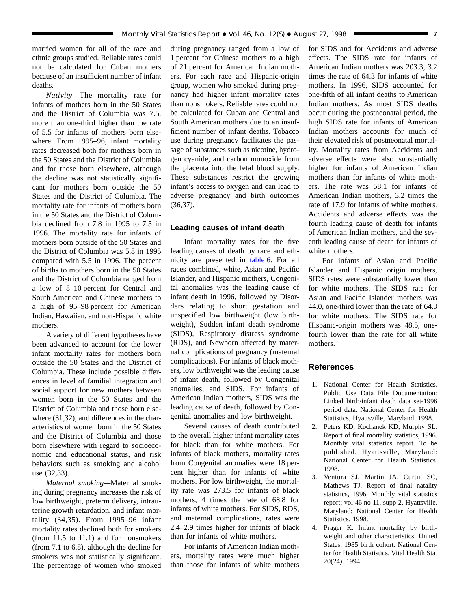<span id="page-6-0"></span>married women for all of the race and ethnic groups studied. Reliable rates could not be calculated for Cuban mothers because of an insufficient number of infant deaths.

*Nativity—*The mortality rate for infants of mothers born in the 50 States and the District of Columbia was 7.5, more than one-third higher than the rate of 5.5 for infants of mothers born elsewhere. From 1995–96, infant mortality rates decreased both for mothers born in the 50 States and the District of Columbia and for those born elsewhere, although the decline was not statistically significant for mothers born outside the 50 States and the District of Columbia. The mortality rate for infants of mothers born in the 50 States and the District of Columbia declined from 7.8 in 1995 to 7.5 in 1996. The mortality rate for infants of mothers born outside of the 50 States and the District of Columbia was 5.8 in 1995 compared with 5.5 in 1996. The percent of births to mothers born in the 50 States and the District of Columbia ranged from a low of 8–10 percent for Central and South American and Chinese mothers to a high of 95–98 percent for American Indian, Hawaiian, and non-Hispanic white mothers.

A variety of different hypotheses have been advanced to account for the lower infant mortality rates for mothers born outside the 50 States and the District of Columbia. These include possible differences in level of familial integration and social support for new mothers between women born in the 50 States and the District of Columbia and those born elsewhere (31,32), and differences in the characteristics of women born in the 50 States and the District of Columbia and those born elsewhere with regard to socioeconomic and educational status, and risk behaviors such as smoking and alcohol use (32,33).

*Maternal smoking—*Maternal smoking during pregnancy increases the risk of low birthweight, preterm delivery, intrauterine growth retardation, and infant mortality (34,35). From 1995–96 infant mortality rates declined both for smokers (from 11.5 to 11.1) and for nonsmokers (from 7.1 to 6.8), although the decline for smokers was not statistically significant. The percentage of women who smoked during pregnancy ranged from a low of 1 percent for Chinese mothers to a high of 21 percent for American Indian mothers. For each race and Hispanic-origin group, women who smoked during pregnancy had higher infant mortality rates than nonsmokers. Reliable rates could not be calculated for Cuban and Central and South American mothers due to an insufficient number of infant deaths. Tobacco use during pregnancy facilitates the passage of substances such as nicotine, hydrogen cyanide, and carbon monoxide from the placenta into the fetal blood supply. These substances restrict the growing infant's access to oxygen and can lead to adverse pregnancy and birth outcomes (36,37).

## **Leading causes of infant death**

Infant mortality rates for the five leading causes of death by race and ethnicity are presented in [table 6. F](#page-19-0)or all races combined, white, Asian and Pacific Islander, and Hispanic mothers, Congenital anomalies was the leading cause of infant death in 1996, followed by Disorders relating to short gestation and unspecified low birthweight (low birthweight), Sudden infant death syndrome (SIDS), Respiratory distress syndrome (RDS), and Newborn affected by maternal complications of pregnancy (maternal complications). For infants of black mothers, low birthweight was the leading cause of infant death, followed by Congenital anomalies, and SIDS. For infants of American Indian mothers, SIDS was the leading cause of death, followed by Congenital anomalies and low birthweight.

Several causes of death contributed to the overall higher infant mortality rates for black than for white mothers. For infants of black mothers, mortality rates from Congenital anomalies were 18 percent higher than for infants of white mothers. For low birthweight, the mortality rate was 273.5 for infants of black mothers, 4 times the rate of 68.8 for infants of white mothers. For SIDS, RDS, and maternal complications, rates were 2.4–2.9 times higher for infants of black than for infants of white mothers.

For infants of American Indian mothers, mortality rates were much higher than those for infants of white mothers for SIDS and for Accidents and adverse effects. The SIDS rate for infants of American Indian mothers was 203.3, 3.2 times the rate of 64.3 for infants of white mothers. In 1996, SIDS accounted for one-fifth of all infant deaths to American Indian mothers. As most SIDS deaths occur during the postneonatal period, the high SIDS rate for infants of American Indian mothers accounts for much of their elevated risk of postneonatal mortality. Mortality rates from Accidents and adverse effects were also substantially higher for infants of American Indian mothers than for infants of white mothers. The rate was 58.1 for infants of American Indian mothers, 3.2 times the rate of 17.9 for infants of white mothers. Accidents and adverse effects was the fourth leading cause of death for infants of American Indian mothers, and the seventh leading cause of death for infants of white mothers.

For infants of Asian and Pacific Islander and Hispanic origin mothers, SIDS rates were substantially lower than for white mothers. The SIDS rate for Asian and Pacific Islander mothers was 44.0, one-third lower than the rate of 64.3 for white mothers. The SIDS rate for Hispanic-origin mothers was 48.5, onefourth lower than the rate for all white mothers.

## **References**

- 1. National Center for Health Statistics. Public Use Data File Documentation: Linked birth/infant death data set-1996 period data. National Center for Health Statistics, Hyattsville, Maryland. 1998.
- 2. Peters KD, Kochanek KD, Murphy SL. Report of final mortality statistics, 1996. Monthly vital statistics report. To be published. Hyattsville, Maryland: National Center for Health Statistics. 1998.
- 3. Ventura SJ, Martin JA, Curtin SC, Mathews TJ. Report of final natality statistics, 1996. Monthly vital statistics report; vol 46 no 11, supp 2. Hyattsville, Maryland: National Center for Health Statistics. 1998.
- 4. Prager K. Infant mortality by birthweight and other characteristics: United States, 1985 birth cohort. National Center for Health Statistics. Vital Health Stat 20(24). 1994.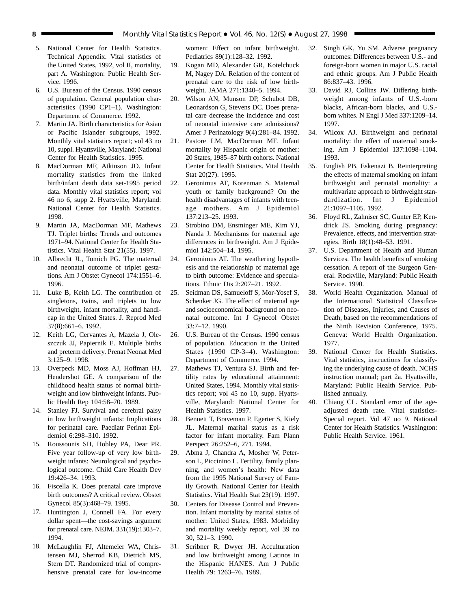- 5. National Center for Health Statistics. Technical Appendix. Vital statistics of the United States, 1992, vol II, mortality, part A. Washington: Public Health Service. 1996.
- 6. U.S. Bureau of the Census. 1990 census of population. General population characteristics (1990 CP1–1). Washington: Department of Commerce. 1992.
- 7. Martin JA. Birth characteristics for Asian or Pacific Islander subgroups, 1992. Monthly vital statistics report; vol 43 no 10, suppl. Hyattsville, Maryland: National Center for Health Statistics. 1995.
- 8. MacDorman MF, Atkinson JO. Infant mortality statistics from the linked birth/infant death data set-1995 period data. Monthly vital statistics report; vol 46 no 6, supp 2. Hyattsville, Maryland: National Center for Health Statistics. 1998.
- 9. Martin JA, MacDorman MF, Mathews TJ. Triplet births: Trends and outcomes 1971–94. National Center for Health Statistics. Vital Health Stat 21(55). 1997.
- 10. Albrecht JL, Tomich PG. The maternal and neonatal outcome of triplet gestations. Am J Obstet Gynecol 174:1551–6. 1996.
- 11. Luke B, Keith LG. The contribution of singletons, twins, and triplets to low birthweight, infant mortality, and handicap in the United States. J. Reprod Med 37(8):661–6. 1992.
- 12. Keith LG, Cervantes A, Mazela J, Oleszczuk JJ, Papiernik E. Multiple births and preterm delivery. Prenat Neonat Med 3:125–9. 1998.
- 13. Overpeck MD, Moss AJ, Hoffman HJ, Hendershot GE. A comparison of the childhood health status of normal birthweight and low birthweight infants. Public Health Rep 104:58–70. 1989.
- 14. Stanley FJ. Survival and cerebral palsy in low birthweight infants: Implications for perinatal care. Paediatr Perinat Epidemiol 6:298–310. 1992.
- 15. Roussounis SH, Hobley PA, Dear PR. Five year follow-up of very low birthweight infants: Neurological and psychological outcome. Child Care Health Dev 19:426–34. 1993.
- 16. Fiscella K. Does prenatal care improve birth outcomes? A critical review. Obstet Gynecol 85(3):468–79. 1995.
- 17. Huntington J, Connell FA. For every dollar spent—the cost-savings argument for prenatal care. NEJM. 331(19):1303–7. 1994.
- 18. McLaughlin FJ, Altemeier WA, Christensen MJ, Sherrod KB, Dietrich MS, Stern DT. Randomized trial of comprehensive prenatal care for low-income

women: Effect on infant birthweight. Pediatrics 89(1):128–32. 1992.

- 19. Kogan MD, Alexander GR, Kotelchuck M, Nagey DA. Relation of the content of prenatal care to the risk of low birthweight. JAMA 271:1340–5. 1994.
- 20. Wilson AN, Munson DP, Schubot DB, Leonardson G, Stevens DC. Does prenatal care decrease the incidence and cost of neonatal intensive care admissions? Amer J Perinatology 9(4):281–84. 1992.
- 21. Pastore LM, MacDorman MF. Infant mortality by Hispanic origin of mother: 20 States, 1985–87 birth cohorts. National Center for Health Statistics. Vital Health Stat 20(27). 1995.
- 22. Geronimus AT, Korenman S. Maternal youth or family background? On the health disadvantages of infants with teenage mothers. Am J Epidemiol 137:213–25. 1993.
- 23. Strobino DM, Ensminger ME, Kim YJ, Nanda J. Mechanisms for maternal age differences in birthweight. Am J Epidemiol 142:504–14. 1995.
- 24. Geronimus AT. The weathering hypothesis and the relationship of maternal age to birth outcome: Evidence and speculations. Ethnic Dis 2:207–21. 1992.
- 25. Seidman DS, Samueloff S, Mor-Yosef S, Schenker JG. The effect of maternal age and socioeconomical background on neonatal outcome. Int J Gynecol Obstet 33:7–12. 1990.
- 26. U.S. Bureau of the Census. 1990 census of population. Education in the United States (1990 CP-3–4). Washington: Department of Commerce. 1994.
- 27. Mathews TJ, Ventura SJ. Birth and fertility rates by educational attainment: United States, 1994. Monthly vital statistics report; vol 45 no 10, supp. Hyattsville, Maryland: National Center for Health Statistics. 1997.
- 28. Bennett T, Braveman P, Egerter S, Kiely JL. Maternal marital status as a risk factor for infant mortality. Fam Plann Perspect 26:252–6, 271. 1994.
- 29. Abma J, Chandra A, Mosher W, Peterson L, Piccinino L. Fertility, family planning, and women's health: New data from the 1995 National Survey of Family Growth. National Center for Health Statistics. Vital Health Stat 23(19). 1997.
- 30. Centers for Disease Control and Prevention. Infant mortality by marital status of mother: United States, 1983. Morbidity and mortality weekly report, vol 39 no 30, 521–3. 1990.
- 31. Scribner R, Dwyer JH. Acculturation and low birthweight among Latinos in the Hispanic HANES. Am J Public Health 79: 1263–76. 1989.
- 32. Singh GK, Yu SM. Adverse pregnancy outcomes: Differences between U.S.- and foreign-born women in major U.S. racial and ethnic groups. Am J Public Health 86:837–43. 1996.
- 33. David RJ, Collins JW. Differing birthweight among infants of U.S.-born blacks, African-born blacks, and U.S. born whites. N Engl J Med 337:1209–14. 1997.
- 34. Wilcox AJ. Birthweight and perinatal mortality: the effect of maternal smoking. Am J Epidemiol 137:1098–1104. 1993.
- 35. English PB, Eskenazi B. Reinterpreting the effects of maternal smoking on infant birthweight and perinatal mortality: a multivariate approach to birthweight standardization. Int J Epidemiol 21:1097–1105. 1992.
- 36. Floyd RL, Zahniser SC, Gunter EP, Kendrick JS. Smoking during pregnancy: Prevalence, effects, and intervention strategies. Birth 18(1):48–53. 1991.
- 37. U.S. Department of Health and Human Services. The health benefits of smoking cessation. A report of the Surgeon General. Rockville, Maryland: Public Health Service. 1990.
- 38. World Health Organization. Manual of the International Statistical Classification of Diseases, Injuries, and Causes of Death, based on the recommendations of the Ninth Revision Conference, 1975. Geneva: World Health Organization. 1977.
- 39. National Center for Health Statistics. Vital statistics, instructions for classifying the underlying cause of death. NCHS instruction manual; part 2a. Hyattsville, Maryland: Public Health Service. Published annually.
- 40. Chiang CL. Standard error of the ageadjusted death rate. Vital statistics-Special report. Vol 47 no 9. National Center for Health Statistics. Washington: Public Health Service. 1961.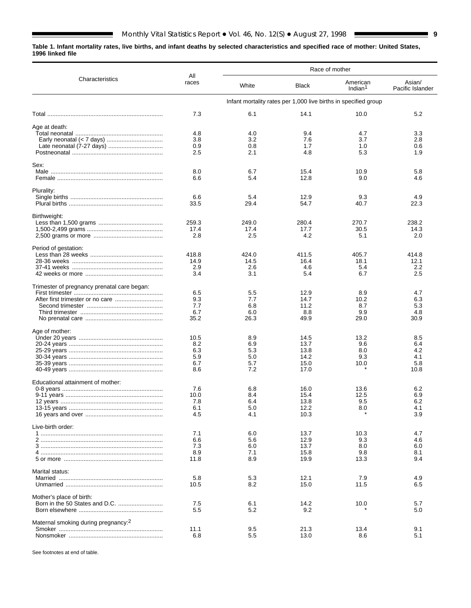#### <span id="page-8-0"></span>**Table 1. Infant mortality rates, live births, and infant deaths by selected characteristics and specified race of mother: United States, 1996 linked file**

 $\blacksquare$ 

|                                                 |              |            |              | Race of mother                                                  |                            |
|-------------------------------------------------|--------------|------------|--------------|-----------------------------------------------------------------|----------------------------|
| Characteristics                                 | All<br>races | White      | Black        | American<br>Indian <sup>1</sup>                                 | Asian/<br>Pacific Islander |
|                                                 |              |            |              | Infant mortality rates per 1,000 live births in specified group |                            |
|                                                 | 7.3          | 6.1        | 14.1         | 10.0                                                            | 5.2                        |
| Age at death:                                   |              |            |              |                                                                 |                            |
|                                                 | 4.8          | 4.0        | 9.4          | 4.7                                                             | 3.3                        |
|                                                 | 3.8          | 3.2        | 7.6          | 3.7                                                             | 2.8                        |
|                                                 | 0.9<br>2.5   | 0.8<br>2.1 | 1.7<br>4.8   | 1.0<br>5.3                                                      | 0.6<br>1.9                 |
|                                                 |              |            |              |                                                                 |                            |
| Sex:                                            |              |            |              |                                                                 |                            |
|                                                 | 8.0          | 6.7        | 15.4         | 10.9                                                            | 5.8                        |
|                                                 | 6.6          | 5.4        | 12.8         | 9.0                                                             | 4.6                        |
| Plurality:                                      |              |            |              |                                                                 |                            |
|                                                 | 6.6          | 5.4        | 12.9         | 9.3                                                             | 4.9                        |
|                                                 | 33.5         | 29.4       | 54.7         | 40.7                                                            | 22.3                       |
| Birthweight:                                    |              |            |              |                                                                 |                            |
|                                                 | 259.3        | 249.0      | 280.4        | 270.7                                                           | 238.2                      |
|                                                 | 17.4         | 17.4       | 17.7         | 30.5                                                            | 14.3                       |
|                                                 | 2.8          | 2.5        | 4.2          | 5.1                                                             | 2.0                        |
| Period of gestation:                            |              |            |              |                                                                 |                            |
|                                                 | 418.8        | 424.0      | 411.5        | 405.7                                                           | 414.8                      |
|                                                 | 14.9         | 14.5       | 16.4         | 18.1                                                            | 12.1                       |
|                                                 | 2.9          | 2.6        | 4.6          | 5.4                                                             | 2.2                        |
|                                                 | 3.4          | 3.1        | 5.4          | 6.7                                                             | 2.5                        |
| Trimester of pregnancy prenatal care began:     |              |            |              |                                                                 |                            |
|                                                 | 6.5          | 5.5        | 12.9         | 8.9                                                             | 4.7                        |
|                                                 | 9.3          | 7.7        | 14.7         | 10.2                                                            | 6.3                        |
|                                                 | 7.7<br>6.7   | 6.8<br>6.0 | 11.2<br>8.8  | 8.7<br>9.9                                                      | 5.3<br>4.8                 |
|                                                 | 35.2         | 26.3       | 49.9         | 29.0                                                            | 30.9                       |
| Age of mother:                                  |              |            |              |                                                                 |                            |
|                                                 | 10.5         | 8.9        | 14.5         | 13.2                                                            | 8.5                        |
|                                                 | 8.2          | 6.9        | 13.7         | 9.6                                                             | 6.4                        |
|                                                 | 6.3          | 5.3        | 13.8         | 8.0                                                             | 4.2                        |
|                                                 | 5.9          | 5.0        | 14.2         | 9.3                                                             | 4.1                        |
|                                                 | 6.7          | 5.7        | 15.0         | 10.0                                                            | 5.8                        |
|                                                 | 8.6          | 7.2        | 17.0         |                                                                 | 10.8                       |
| Educational attainment of mother:               |              |            |              |                                                                 |                            |
|                                                 | 7.6          | 6.8        | 16.0         | 13.6                                                            | 6.2                        |
|                                                 | 10.0<br>7.8  | 8.4<br>6.4 | 15.4<br>13.8 | 12.5<br>9.5                                                     | 6.9<br>6.2                 |
|                                                 | 6.1          | 5.0        | 12.2         | 8.0                                                             | 4.1                        |
|                                                 | 4.5          | 4.1        | 10.3         |                                                                 | 3.9                        |
| Live-birth order:                               |              |            |              |                                                                 |                            |
|                                                 | 7.1          | 6.0        | 13.7         | 10.3                                                            | 4.7                        |
|                                                 | 6.6          | 5.6        | 12.9         | 9.3                                                             | 4.6                        |
|                                                 | 7.3          | 6.0        | 13.7         | 8.0                                                             | 6.0                        |
|                                                 | 8.9          | 7.1        | 15.8         | 9.8                                                             | 8.1                        |
|                                                 | 11.8         | 8.9        | 19.9         | 13.3                                                            | 9.4                        |
| Marital status:                                 |              |            |              |                                                                 |                            |
|                                                 | 5.8          | 5.3        | 12.1         | 7.9                                                             | 4.9                        |
|                                                 | 10.5         | 8.2        | 15.0         | 11.5                                                            | 6.5                        |
| Mother's place of birth:                        |              |            |              |                                                                 |                            |
|                                                 | 7.5          | 6.1        | 14.2         | 10.0                                                            | 5.7                        |
|                                                 | 5.5          | 5.2        | 9.2          |                                                                 | 5.0                        |
| Maternal smoking during pregnancy: <sup>2</sup> |              |            |              |                                                                 |                            |
|                                                 | 11.1         | 9.5        | 21.3         | 13.4                                                            | 9.1                        |
|                                                 | 6.8          | 5.5        | 13.0         | 8.6                                                             | 5.1                        |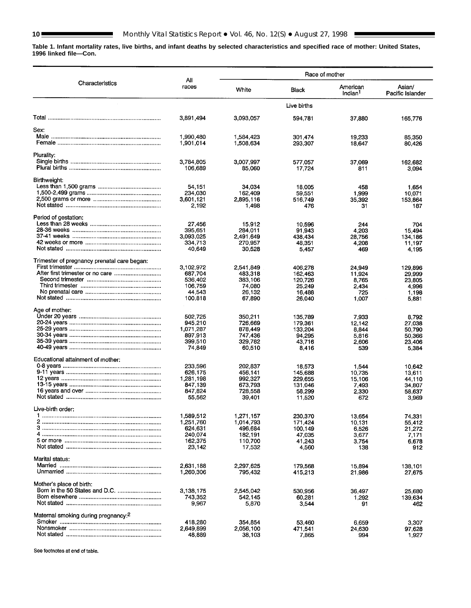۰

**Table 1. Infant mortality rates, live births, and infant deaths by selected characteristics and specified race of mother: United States, 1996 linked file—Con.**

| All<br>Characteristics<br>Asian/<br>races<br>American<br>White<br>Black<br>Indian <sup>1</sup><br>Live births<br>3,891,494<br>3,093,057<br>594,781<br>37,880<br>165,776<br>Sex:<br>1,990,480<br>1,584,423<br>301,474<br>19.233<br>85,350<br>1,901,014<br>1,508,634<br>293,307<br>18,647<br>80,426<br>Plurality:<br>3,007,997<br>3,784,805<br>577,057<br>37.069<br>162,682<br>106,689<br>85,060<br>17,724<br>811<br>3,094<br>Birthweight:<br>54,151<br>34.034<br>18,005<br>458<br>1,654<br>234,030<br>162,409<br>59,551<br>1,999<br>10,071<br>3,601,121<br>2,895,116<br>35,392<br>516,749<br>153,864<br>2,192<br>1,498<br>476<br>31<br>187<br>Period of gestation:<br>27,456<br>15912<br>10,596<br>244<br>704<br>395,651<br>284,011<br>91,943<br>4,203<br>15,494<br>3,093,025<br>2,491,649<br>438,434<br>28,756<br>134,186<br>334,713<br>270.957<br>48.351<br>4,208<br>11.197<br>40,649<br>30,528<br>469<br>5,457<br>4,195<br>Trimester of pregnancy prenatal care began:<br>3,102,972<br>2,541,849<br>406,278<br>24,949<br>129,896<br>687,704<br>483,318<br>162,463<br>11.924<br>29,999<br>536,402<br>383,106<br>120.726<br>8.765<br>23.805<br>106,759<br>74,080<br>25,249<br>2,434<br>4,996<br>44.543<br>26,132<br>16,488<br>725<br>1,198<br>100,818<br>67,890<br>26,040<br>1.007<br>5,881<br>Age of mother:<br>502,725<br>350,211<br>135.789<br>7.933<br>8.792<br>945,210<br>726,669<br>179,361<br>12,142<br>27,038<br>1,071,287<br>878,449<br>133,204<br>8.844<br>50,790<br>897,913<br>747,436<br>94,295<br>5.816<br>50,366<br>399,510<br>329,782<br>43,716<br>2.606<br>23,406<br>74,849<br>60,510<br>8,416<br>539<br>5,384<br>Educational attainment of mother:<br>233,596<br>202,837<br>18,573<br>1.544<br>10,642<br>626.175<br>456,141<br>145,688<br>10,735<br>13,611<br>1,281,198<br>992,327<br>229,655<br>15,106<br>44.110<br>847,139<br>673,793<br>131,046<br>34,807<br>7.493<br>847,824<br>728,558<br>58,299<br>2,330<br>58,637<br>55,562<br>39,401<br>11,520<br>672<br>3,969<br>Live-birth order:<br>1,589,512<br>1,271,157<br>230,370<br>13.654<br>74,331<br>1,251,760<br>1,014,793<br>171,424<br>10.131<br>55,412<br>624,631<br>496,684<br>100,149<br>6,526<br>21,272<br>240,074<br>182,191<br>47,035<br>3,677<br>7,171<br>162,375<br>110,700<br>41,243<br>3.754<br>6,678<br>23,142<br>17,532<br>912<br>4,560<br>138<br>Marital status:<br>2,631,188<br>2,297,625<br>179,568<br>15,894<br>138,101<br>1,260,306<br>795,432<br>415,213<br>21,986<br>27,675<br>Mother's place of birth:<br>3,138,175<br>2,545,042<br>530,956<br>36.497<br>25,680<br>743,352<br>542,145<br>60,281<br>1,292<br>139,634<br>9,967<br>5,870<br>3,544<br>91<br>462<br>Maternal smoking during pregnancy: <sup>2</sup><br>418,280<br>354,854<br>53,460<br>6.659<br>3,307<br>2,649,899<br>2,056,100<br>471,541<br>24,630<br>97,628 |        |        | Race of mother |     |                  |
|----------------------------------------------------------------------------------------------------------------------------------------------------------------------------------------------------------------------------------------------------------------------------------------------------------------------------------------------------------------------------------------------------------------------------------------------------------------------------------------------------------------------------------------------------------------------------------------------------------------------------------------------------------------------------------------------------------------------------------------------------------------------------------------------------------------------------------------------------------------------------------------------------------------------------------------------------------------------------------------------------------------------------------------------------------------------------------------------------------------------------------------------------------------------------------------------------------------------------------------------------------------------------------------------------------------------------------------------------------------------------------------------------------------------------------------------------------------------------------------------------------------------------------------------------------------------------------------------------------------------------------------------------------------------------------------------------------------------------------------------------------------------------------------------------------------------------------------------------------------------------------------------------------------------------------------------------------------------------------------------------------------------------------------------------------------------------------------------------------------------------------------------------------------------------------------------------------------------------------------------------------------------------------------------------------------------------------------------------------------------------------------------------------------------------------------------------------------------------------------------------------------------------------------------------------------------------------------------------------------------------------------------------------------------------------------------------------------------------------------------------------------------------------------------------------------------|--------|--------|----------------|-----|------------------|
|                                                                                                                                                                                                                                                                                                                                                                                                                                                                                                                                                                                                                                                                                                                                                                                                                                                                                                                                                                                                                                                                                                                                                                                                                                                                                                                                                                                                                                                                                                                                                                                                                                                                                                                                                                                                                                                                                                                                                                                                                                                                                                                                                                                                                                                                                                                                                                                                                                                                                                                                                                                                                                                                                                                                                                                                                      |        |        |                |     | Pacific Islander |
|                                                                                                                                                                                                                                                                                                                                                                                                                                                                                                                                                                                                                                                                                                                                                                                                                                                                                                                                                                                                                                                                                                                                                                                                                                                                                                                                                                                                                                                                                                                                                                                                                                                                                                                                                                                                                                                                                                                                                                                                                                                                                                                                                                                                                                                                                                                                                                                                                                                                                                                                                                                                                                                                                                                                                                                                                      |        |        |                |     |                  |
|                                                                                                                                                                                                                                                                                                                                                                                                                                                                                                                                                                                                                                                                                                                                                                                                                                                                                                                                                                                                                                                                                                                                                                                                                                                                                                                                                                                                                                                                                                                                                                                                                                                                                                                                                                                                                                                                                                                                                                                                                                                                                                                                                                                                                                                                                                                                                                                                                                                                                                                                                                                                                                                                                                                                                                                                                      |        |        |                |     |                  |
|                                                                                                                                                                                                                                                                                                                                                                                                                                                                                                                                                                                                                                                                                                                                                                                                                                                                                                                                                                                                                                                                                                                                                                                                                                                                                                                                                                                                                                                                                                                                                                                                                                                                                                                                                                                                                                                                                                                                                                                                                                                                                                                                                                                                                                                                                                                                                                                                                                                                                                                                                                                                                                                                                                                                                                                                                      |        |        |                |     |                  |
|                                                                                                                                                                                                                                                                                                                                                                                                                                                                                                                                                                                                                                                                                                                                                                                                                                                                                                                                                                                                                                                                                                                                                                                                                                                                                                                                                                                                                                                                                                                                                                                                                                                                                                                                                                                                                                                                                                                                                                                                                                                                                                                                                                                                                                                                                                                                                                                                                                                                                                                                                                                                                                                                                                                                                                                                                      |        |        |                |     |                  |
|                                                                                                                                                                                                                                                                                                                                                                                                                                                                                                                                                                                                                                                                                                                                                                                                                                                                                                                                                                                                                                                                                                                                                                                                                                                                                                                                                                                                                                                                                                                                                                                                                                                                                                                                                                                                                                                                                                                                                                                                                                                                                                                                                                                                                                                                                                                                                                                                                                                                                                                                                                                                                                                                                                                                                                                                                      |        |        |                |     |                  |
|                                                                                                                                                                                                                                                                                                                                                                                                                                                                                                                                                                                                                                                                                                                                                                                                                                                                                                                                                                                                                                                                                                                                                                                                                                                                                                                                                                                                                                                                                                                                                                                                                                                                                                                                                                                                                                                                                                                                                                                                                                                                                                                                                                                                                                                                                                                                                                                                                                                                                                                                                                                                                                                                                                                                                                                                                      |        |        |                |     |                  |
|                                                                                                                                                                                                                                                                                                                                                                                                                                                                                                                                                                                                                                                                                                                                                                                                                                                                                                                                                                                                                                                                                                                                                                                                                                                                                                                                                                                                                                                                                                                                                                                                                                                                                                                                                                                                                                                                                                                                                                                                                                                                                                                                                                                                                                                                                                                                                                                                                                                                                                                                                                                                                                                                                                                                                                                                                      |        |        |                |     |                  |
|                                                                                                                                                                                                                                                                                                                                                                                                                                                                                                                                                                                                                                                                                                                                                                                                                                                                                                                                                                                                                                                                                                                                                                                                                                                                                                                                                                                                                                                                                                                                                                                                                                                                                                                                                                                                                                                                                                                                                                                                                                                                                                                                                                                                                                                                                                                                                                                                                                                                                                                                                                                                                                                                                                                                                                                                                      |        |        |                |     |                  |
|                                                                                                                                                                                                                                                                                                                                                                                                                                                                                                                                                                                                                                                                                                                                                                                                                                                                                                                                                                                                                                                                                                                                                                                                                                                                                                                                                                                                                                                                                                                                                                                                                                                                                                                                                                                                                                                                                                                                                                                                                                                                                                                                                                                                                                                                                                                                                                                                                                                                                                                                                                                                                                                                                                                                                                                                                      |        |        |                |     |                  |
|                                                                                                                                                                                                                                                                                                                                                                                                                                                                                                                                                                                                                                                                                                                                                                                                                                                                                                                                                                                                                                                                                                                                                                                                                                                                                                                                                                                                                                                                                                                                                                                                                                                                                                                                                                                                                                                                                                                                                                                                                                                                                                                                                                                                                                                                                                                                                                                                                                                                                                                                                                                                                                                                                                                                                                                                                      |        |        |                |     |                  |
|                                                                                                                                                                                                                                                                                                                                                                                                                                                                                                                                                                                                                                                                                                                                                                                                                                                                                                                                                                                                                                                                                                                                                                                                                                                                                                                                                                                                                                                                                                                                                                                                                                                                                                                                                                                                                                                                                                                                                                                                                                                                                                                                                                                                                                                                                                                                                                                                                                                                                                                                                                                                                                                                                                                                                                                                                      |        |        |                |     |                  |
|                                                                                                                                                                                                                                                                                                                                                                                                                                                                                                                                                                                                                                                                                                                                                                                                                                                                                                                                                                                                                                                                                                                                                                                                                                                                                                                                                                                                                                                                                                                                                                                                                                                                                                                                                                                                                                                                                                                                                                                                                                                                                                                                                                                                                                                                                                                                                                                                                                                                                                                                                                                                                                                                                                                                                                                                                      |        |        |                |     |                  |
|                                                                                                                                                                                                                                                                                                                                                                                                                                                                                                                                                                                                                                                                                                                                                                                                                                                                                                                                                                                                                                                                                                                                                                                                                                                                                                                                                                                                                                                                                                                                                                                                                                                                                                                                                                                                                                                                                                                                                                                                                                                                                                                                                                                                                                                                                                                                                                                                                                                                                                                                                                                                                                                                                                                                                                                                                      |        |        |                |     |                  |
|                                                                                                                                                                                                                                                                                                                                                                                                                                                                                                                                                                                                                                                                                                                                                                                                                                                                                                                                                                                                                                                                                                                                                                                                                                                                                                                                                                                                                                                                                                                                                                                                                                                                                                                                                                                                                                                                                                                                                                                                                                                                                                                                                                                                                                                                                                                                                                                                                                                                                                                                                                                                                                                                                                                                                                                                                      |        |        |                |     |                  |
|                                                                                                                                                                                                                                                                                                                                                                                                                                                                                                                                                                                                                                                                                                                                                                                                                                                                                                                                                                                                                                                                                                                                                                                                                                                                                                                                                                                                                                                                                                                                                                                                                                                                                                                                                                                                                                                                                                                                                                                                                                                                                                                                                                                                                                                                                                                                                                                                                                                                                                                                                                                                                                                                                                                                                                                                                      |        |        |                |     |                  |
|                                                                                                                                                                                                                                                                                                                                                                                                                                                                                                                                                                                                                                                                                                                                                                                                                                                                                                                                                                                                                                                                                                                                                                                                                                                                                                                                                                                                                                                                                                                                                                                                                                                                                                                                                                                                                                                                                                                                                                                                                                                                                                                                                                                                                                                                                                                                                                                                                                                                                                                                                                                                                                                                                                                                                                                                                      |        |        |                |     |                  |
|                                                                                                                                                                                                                                                                                                                                                                                                                                                                                                                                                                                                                                                                                                                                                                                                                                                                                                                                                                                                                                                                                                                                                                                                                                                                                                                                                                                                                                                                                                                                                                                                                                                                                                                                                                                                                                                                                                                                                                                                                                                                                                                                                                                                                                                                                                                                                                                                                                                                                                                                                                                                                                                                                                                                                                                                                      |        |        |                |     |                  |
|                                                                                                                                                                                                                                                                                                                                                                                                                                                                                                                                                                                                                                                                                                                                                                                                                                                                                                                                                                                                                                                                                                                                                                                                                                                                                                                                                                                                                                                                                                                                                                                                                                                                                                                                                                                                                                                                                                                                                                                                                                                                                                                                                                                                                                                                                                                                                                                                                                                                                                                                                                                                                                                                                                                                                                                                                      |        |        |                |     |                  |
|                                                                                                                                                                                                                                                                                                                                                                                                                                                                                                                                                                                                                                                                                                                                                                                                                                                                                                                                                                                                                                                                                                                                                                                                                                                                                                                                                                                                                                                                                                                                                                                                                                                                                                                                                                                                                                                                                                                                                                                                                                                                                                                                                                                                                                                                                                                                                                                                                                                                                                                                                                                                                                                                                                                                                                                                                      |        |        |                |     |                  |
|                                                                                                                                                                                                                                                                                                                                                                                                                                                                                                                                                                                                                                                                                                                                                                                                                                                                                                                                                                                                                                                                                                                                                                                                                                                                                                                                                                                                                                                                                                                                                                                                                                                                                                                                                                                                                                                                                                                                                                                                                                                                                                                                                                                                                                                                                                                                                                                                                                                                                                                                                                                                                                                                                                                                                                                                                      |        |        |                |     |                  |
|                                                                                                                                                                                                                                                                                                                                                                                                                                                                                                                                                                                                                                                                                                                                                                                                                                                                                                                                                                                                                                                                                                                                                                                                                                                                                                                                                                                                                                                                                                                                                                                                                                                                                                                                                                                                                                                                                                                                                                                                                                                                                                                                                                                                                                                                                                                                                                                                                                                                                                                                                                                                                                                                                                                                                                                                                      |        |        |                |     |                  |
|                                                                                                                                                                                                                                                                                                                                                                                                                                                                                                                                                                                                                                                                                                                                                                                                                                                                                                                                                                                                                                                                                                                                                                                                                                                                                                                                                                                                                                                                                                                                                                                                                                                                                                                                                                                                                                                                                                                                                                                                                                                                                                                                                                                                                                                                                                                                                                                                                                                                                                                                                                                                                                                                                                                                                                                                                      |        |        |                |     |                  |
|                                                                                                                                                                                                                                                                                                                                                                                                                                                                                                                                                                                                                                                                                                                                                                                                                                                                                                                                                                                                                                                                                                                                                                                                                                                                                                                                                                                                                                                                                                                                                                                                                                                                                                                                                                                                                                                                                                                                                                                                                                                                                                                                                                                                                                                                                                                                                                                                                                                                                                                                                                                                                                                                                                                                                                                                                      |        |        |                |     |                  |
|                                                                                                                                                                                                                                                                                                                                                                                                                                                                                                                                                                                                                                                                                                                                                                                                                                                                                                                                                                                                                                                                                                                                                                                                                                                                                                                                                                                                                                                                                                                                                                                                                                                                                                                                                                                                                                                                                                                                                                                                                                                                                                                                                                                                                                                                                                                                                                                                                                                                                                                                                                                                                                                                                                                                                                                                                      |        |        |                |     |                  |
|                                                                                                                                                                                                                                                                                                                                                                                                                                                                                                                                                                                                                                                                                                                                                                                                                                                                                                                                                                                                                                                                                                                                                                                                                                                                                                                                                                                                                                                                                                                                                                                                                                                                                                                                                                                                                                                                                                                                                                                                                                                                                                                                                                                                                                                                                                                                                                                                                                                                                                                                                                                                                                                                                                                                                                                                                      |        |        |                |     |                  |
|                                                                                                                                                                                                                                                                                                                                                                                                                                                                                                                                                                                                                                                                                                                                                                                                                                                                                                                                                                                                                                                                                                                                                                                                                                                                                                                                                                                                                                                                                                                                                                                                                                                                                                                                                                                                                                                                                                                                                                                                                                                                                                                                                                                                                                                                                                                                                                                                                                                                                                                                                                                                                                                                                                                                                                                                                      |        |        |                |     |                  |
|                                                                                                                                                                                                                                                                                                                                                                                                                                                                                                                                                                                                                                                                                                                                                                                                                                                                                                                                                                                                                                                                                                                                                                                                                                                                                                                                                                                                                                                                                                                                                                                                                                                                                                                                                                                                                                                                                                                                                                                                                                                                                                                                                                                                                                                                                                                                                                                                                                                                                                                                                                                                                                                                                                                                                                                                                      |        |        |                |     |                  |
|                                                                                                                                                                                                                                                                                                                                                                                                                                                                                                                                                                                                                                                                                                                                                                                                                                                                                                                                                                                                                                                                                                                                                                                                                                                                                                                                                                                                                                                                                                                                                                                                                                                                                                                                                                                                                                                                                                                                                                                                                                                                                                                                                                                                                                                                                                                                                                                                                                                                                                                                                                                                                                                                                                                                                                                                                      |        |        |                |     |                  |
|                                                                                                                                                                                                                                                                                                                                                                                                                                                                                                                                                                                                                                                                                                                                                                                                                                                                                                                                                                                                                                                                                                                                                                                                                                                                                                                                                                                                                                                                                                                                                                                                                                                                                                                                                                                                                                                                                                                                                                                                                                                                                                                                                                                                                                                                                                                                                                                                                                                                                                                                                                                                                                                                                                                                                                                                                      |        |        |                |     |                  |
|                                                                                                                                                                                                                                                                                                                                                                                                                                                                                                                                                                                                                                                                                                                                                                                                                                                                                                                                                                                                                                                                                                                                                                                                                                                                                                                                                                                                                                                                                                                                                                                                                                                                                                                                                                                                                                                                                                                                                                                                                                                                                                                                                                                                                                                                                                                                                                                                                                                                                                                                                                                                                                                                                                                                                                                                                      |        |        |                |     |                  |
|                                                                                                                                                                                                                                                                                                                                                                                                                                                                                                                                                                                                                                                                                                                                                                                                                                                                                                                                                                                                                                                                                                                                                                                                                                                                                                                                                                                                                                                                                                                                                                                                                                                                                                                                                                                                                                                                                                                                                                                                                                                                                                                                                                                                                                                                                                                                                                                                                                                                                                                                                                                                                                                                                                                                                                                                                      |        |        |                |     |                  |
|                                                                                                                                                                                                                                                                                                                                                                                                                                                                                                                                                                                                                                                                                                                                                                                                                                                                                                                                                                                                                                                                                                                                                                                                                                                                                                                                                                                                                                                                                                                                                                                                                                                                                                                                                                                                                                                                                                                                                                                                                                                                                                                                                                                                                                                                                                                                                                                                                                                                                                                                                                                                                                                                                                                                                                                                                      |        |        |                |     |                  |
|                                                                                                                                                                                                                                                                                                                                                                                                                                                                                                                                                                                                                                                                                                                                                                                                                                                                                                                                                                                                                                                                                                                                                                                                                                                                                                                                                                                                                                                                                                                                                                                                                                                                                                                                                                                                                                                                                                                                                                                                                                                                                                                                                                                                                                                                                                                                                                                                                                                                                                                                                                                                                                                                                                                                                                                                                      |        |        |                |     |                  |
|                                                                                                                                                                                                                                                                                                                                                                                                                                                                                                                                                                                                                                                                                                                                                                                                                                                                                                                                                                                                                                                                                                                                                                                                                                                                                                                                                                                                                                                                                                                                                                                                                                                                                                                                                                                                                                                                                                                                                                                                                                                                                                                                                                                                                                                                                                                                                                                                                                                                                                                                                                                                                                                                                                                                                                                                                      |        |        |                |     |                  |
|                                                                                                                                                                                                                                                                                                                                                                                                                                                                                                                                                                                                                                                                                                                                                                                                                                                                                                                                                                                                                                                                                                                                                                                                                                                                                                                                                                                                                                                                                                                                                                                                                                                                                                                                                                                                                                                                                                                                                                                                                                                                                                                                                                                                                                                                                                                                                                                                                                                                                                                                                                                                                                                                                                                                                                                                                      |        |        |                |     |                  |
|                                                                                                                                                                                                                                                                                                                                                                                                                                                                                                                                                                                                                                                                                                                                                                                                                                                                                                                                                                                                                                                                                                                                                                                                                                                                                                                                                                                                                                                                                                                                                                                                                                                                                                                                                                                                                                                                                                                                                                                                                                                                                                                                                                                                                                                                                                                                                                                                                                                                                                                                                                                                                                                                                                                                                                                                                      |        |        |                |     |                  |
|                                                                                                                                                                                                                                                                                                                                                                                                                                                                                                                                                                                                                                                                                                                                                                                                                                                                                                                                                                                                                                                                                                                                                                                                                                                                                                                                                                                                                                                                                                                                                                                                                                                                                                                                                                                                                                                                                                                                                                                                                                                                                                                                                                                                                                                                                                                                                                                                                                                                                                                                                                                                                                                                                                                                                                                                                      |        |        |                |     |                  |
|                                                                                                                                                                                                                                                                                                                                                                                                                                                                                                                                                                                                                                                                                                                                                                                                                                                                                                                                                                                                                                                                                                                                                                                                                                                                                                                                                                                                                                                                                                                                                                                                                                                                                                                                                                                                                                                                                                                                                                                                                                                                                                                                                                                                                                                                                                                                                                                                                                                                                                                                                                                                                                                                                                                                                                                                                      |        |        |                |     |                  |
|                                                                                                                                                                                                                                                                                                                                                                                                                                                                                                                                                                                                                                                                                                                                                                                                                                                                                                                                                                                                                                                                                                                                                                                                                                                                                                                                                                                                                                                                                                                                                                                                                                                                                                                                                                                                                                                                                                                                                                                                                                                                                                                                                                                                                                                                                                                                                                                                                                                                                                                                                                                                                                                                                                                                                                                                                      |        |        |                |     |                  |
|                                                                                                                                                                                                                                                                                                                                                                                                                                                                                                                                                                                                                                                                                                                                                                                                                                                                                                                                                                                                                                                                                                                                                                                                                                                                                                                                                                                                                                                                                                                                                                                                                                                                                                                                                                                                                                                                                                                                                                                                                                                                                                                                                                                                                                                                                                                                                                                                                                                                                                                                                                                                                                                                                                                                                                                                                      |        |        |                |     |                  |
|                                                                                                                                                                                                                                                                                                                                                                                                                                                                                                                                                                                                                                                                                                                                                                                                                                                                                                                                                                                                                                                                                                                                                                                                                                                                                                                                                                                                                                                                                                                                                                                                                                                                                                                                                                                                                                                                                                                                                                                                                                                                                                                                                                                                                                                                                                                                                                                                                                                                                                                                                                                                                                                                                                                                                                                                                      |        |        |                |     |                  |
|                                                                                                                                                                                                                                                                                                                                                                                                                                                                                                                                                                                                                                                                                                                                                                                                                                                                                                                                                                                                                                                                                                                                                                                                                                                                                                                                                                                                                                                                                                                                                                                                                                                                                                                                                                                                                                                                                                                                                                                                                                                                                                                                                                                                                                                                                                                                                                                                                                                                                                                                                                                                                                                                                                                                                                                                                      |        |        |                |     |                  |
|                                                                                                                                                                                                                                                                                                                                                                                                                                                                                                                                                                                                                                                                                                                                                                                                                                                                                                                                                                                                                                                                                                                                                                                                                                                                                                                                                                                                                                                                                                                                                                                                                                                                                                                                                                                                                                                                                                                                                                                                                                                                                                                                                                                                                                                                                                                                                                                                                                                                                                                                                                                                                                                                                                                                                                                                                      |        |        |                |     |                  |
|                                                                                                                                                                                                                                                                                                                                                                                                                                                                                                                                                                                                                                                                                                                                                                                                                                                                                                                                                                                                                                                                                                                                                                                                                                                                                                                                                                                                                                                                                                                                                                                                                                                                                                                                                                                                                                                                                                                                                                                                                                                                                                                                                                                                                                                                                                                                                                                                                                                                                                                                                                                                                                                                                                                                                                                                                      |        |        |                |     |                  |
|                                                                                                                                                                                                                                                                                                                                                                                                                                                                                                                                                                                                                                                                                                                                                                                                                                                                                                                                                                                                                                                                                                                                                                                                                                                                                                                                                                                                                                                                                                                                                                                                                                                                                                                                                                                                                                                                                                                                                                                                                                                                                                                                                                                                                                                                                                                                                                                                                                                                                                                                                                                                                                                                                                                                                                                                                      |        |        |                |     |                  |
|                                                                                                                                                                                                                                                                                                                                                                                                                                                                                                                                                                                                                                                                                                                                                                                                                                                                                                                                                                                                                                                                                                                                                                                                                                                                                                                                                                                                                                                                                                                                                                                                                                                                                                                                                                                                                                                                                                                                                                                                                                                                                                                                                                                                                                                                                                                                                                                                                                                                                                                                                                                                                                                                                                                                                                                                                      |        |        |                |     |                  |
|                                                                                                                                                                                                                                                                                                                                                                                                                                                                                                                                                                                                                                                                                                                                                                                                                                                                                                                                                                                                                                                                                                                                                                                                                                                                                                                                                                                                                                                                                                                                                                                                                                                                                                                                                                                                                                                                                                                                                                                                                                                                                                                                                                                                                                                                                                                                                                                                                                                                                                                                                                                                                                                                                                                                                                                                                      |        |        |                |     |                  |
|                                                                                                                                                                                                                                                                                                                                                                                                                                                                                                                                                                                                                                                                                                                                                                                                                                                                                                                                                                                                                                                                                                                                                                                                                                                                                                                                                                                                                                                                                                                                                                                                                                                                                                                                                                                                                                                                                                                                                                                                                                                                                                                                                                                                                                                                                                                                                                                                                                                                                                                                                                                                                                                                                                                                                                                                                      | 48,889 | 38,103 | 7,865          | 994 | 1,927            |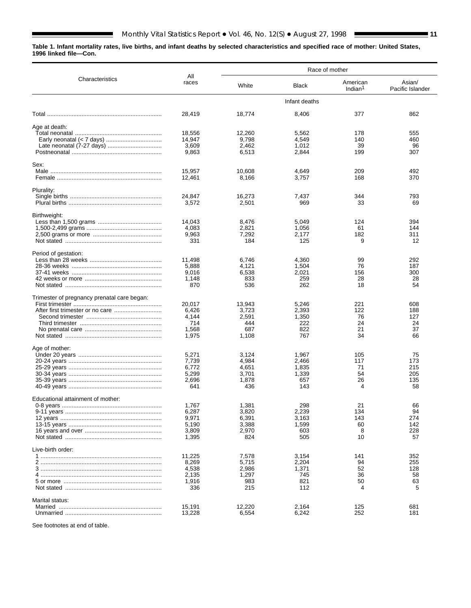**Table 1. Infant mortality rates, live births, and infant deaths by selected characteristics and specified race of mother: United States, 1996 linked file—Con.**

 $\blacksquare$ 

|                                             |              | Race of mother |               |                                 |                            |  |  |  |  |
|---------------------------------------------|--------------|----------------|---------------|---------------------------------|----------------------------|--|--|--|--|
| Characteristics                             | All<br>races | White          | <b>Black</b>  | American<br>Indian <sup>1</sup> | Asian/<br>Pacific Islander |  |  |  |  |
|                                             |              |                | Infant deaths |                                 |                            |  |  |  |  |
|                                             | 28,419       | 18,774         | 8,406         | 377                             | 862                        |  |  |  |  |
| Age at death:                               |              |                |               |                                 |                            |  |  |  |  |
|                                             | 18,556       | 12,260         | 5,562         | 178                             | 555                        |  |  |  |  |
|                                             | 14,947       | 9.798          | 4,549         | 140                             | 460                        |  |  |  |  |
|                                             | 3,609        | 2.462          | 1,012         | 39                              | 96                         |  |  |  |  |
|                                             | 9,863        | 6,513          | 2,844         | 199                             | 307                        |  |  |  |  |
| Sex:                                        |              |                |               |                                 |                            |  |  |  |  |
| Male                                        | 15,957       | 10,608         | 4,649         | 209                             | 492                        |  |  |  |  |
|                                             | 12,461       | 8,166          | 3,757         | 168                             | 370                        |  |  |  |  |
| Plurality:                                  |              |                |               |                                 |                            |  |  |  |  |
|                                             | 24,847       | 16,273         | 7,437         | 344                             | 793                        |  |  |  |  |
|                                             | 3,572        | 2,501          | 969           | 33                              | 69                         |  |  |  |  |
| Birthweight:                                |              |                |               |                                 |                            |  |  |  |  |
|                                             | 14,043       | 8,476          | 5,049         | 124                             | 394                        |  |  |  |  |
|                                             | 4,083        | 2,821          | 1,056         | 61                              | 144                        |  |  |  |  |
|                                             | 9,963        | 7,292          | 2,177         | 182                             | 311                        |  |  |  |  |
|                                             | 331          | 184            | 125           | 9                               | 12                         |  |  |  |  |
| Period of gestation:                        |              |                |               |                                 |                            |  |  |  |  |
|                                             | 11,498       | 6,746          | 4,360         | 99                              | 292                        |  |  |  |  |
|                                             | 5,888        | 4,121          | 1,504         | 76                              | 187                        |  |  |  |  |
|                                             | 9,016        | 6,538          | 2,021         | 156                             | 300                        |  |  |  |  |
|                                             | 1,148        | 833            | 259           | 28                              | 28                         |  |  |  |  |
|                                             | 870          | 536            | 262           | 18                              | 54                         |  |  |  |  |
| Trimester of pregnancy prenatal care began: |              |                |               |                                 |                            |  |  |  |  |
|                                             | 20,017       | 13,943         | 5,246         | 221                             | 608                        |  |  |  |  |
|                                             | 6,426        | 3,723          | 2,393         | 122                             | 188                        |  |  |  |  |
|                                             | 4,144        | 2,591          | 1,350         | 76                              | 127                        |  |  |  |  |
|                                             | 714          | 444            | 222           | 24                              | 24                         |  |  |  |  |
|                                             | 1,568        | 687            | 822           | 21                              | 37                         |  |  |  |  |
|                                             | 1,975        | 1,108          | 767           | 34                              | 66                         |  |  |  |  |
| Age of mother:                              |              |                |               |                                 |                            |  |  |  |  |
|                                             | 5,271        | 3,124          | 1,967         | 105                             | 75                         |  |  |  |  |
|                                             | 7,739        | 4,984          | 2,466         | 117                             | 173                        |  |  |  |  |
|                                             | 6,772        | 4,651          | 1,835         | 71                              | 215                        |  |  |  |  |
|                                             | 5,299        | 3,701          | 1,339         | 54                              | 205                        |  |  |  |  |
|                                             | 2,696        | 1,878          | 657           | 26                              | 135                        |  |  |  |  |
|                                             | 641          | 436            | 143           | 4                               | 58                         |  |  |  |  |
| Educational attainment of mother:           |              |                |               |                                 |                            |  |  |  |  |
|                                             | 1,767        | 1,381          | 298           | 21                              | 66                         |  |  |  |  |
|                                             | 6,287        | 3,820          | 2,239         | 134                             | 94                         |  |  |  |  |
|                                             | 9,971        | 6,391          | 3,163         | 143                             | 274                        |  |  |  |  |
|                                             | 5,190        | 3,388          | 1,599         | 60                              | 142                        |  |  |  |  |
|                                             | 3,809        | 2,970          | 603           | 8                               | 228                        |  |  |  |  |
|                                             | 1,395        | 824            | 505           | 10                              | 57                         |  |  |  |  |
| Live-birth order:                           |              |                |               |                                 |                            |  |  |  |  |
|                                             | 11,225       | 7,578          | 3,154         | 141                             | 352                        |  |  |  |  |
|                                             | 8,269        | 5,715          | 2,204         | 94                              | 255                        |  |  |  |  |
|                                             | 4,538        | 2,986          | 1,371         | 52                              | 128                        |  |  |  |  |
|                                             | 2,135        | 1,297          | 745           | 36                              | 58                         |  |  |  |  |
|                                             | 1,916        | 983            | 821           | 50                              | 63                         |  |  |  |  |
|                                             | 336          | 215            | 112           | 4                               | 5                          |  |  |  |  |
| Marital status:                             |              |                |               |                                 |                            |  |  |  |  |
|                                             | 15,191       | 12,220         | 2,164         | 125                             | 681                        |  |  |  |  |
|                                             | 13,228       | 6,554          | 6,242         | 252                             | 181                        |  |  |  |  |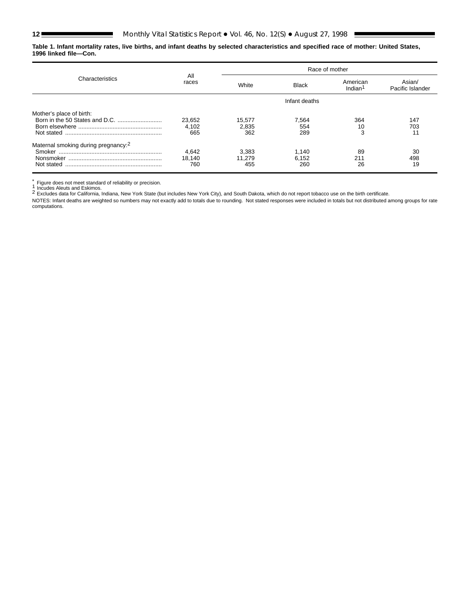**Table 1. Infant mortality rates, live births, and infant deaths by selected characteristics and specified race of mother: United States, 1996 linked file—Con.**

|                                                               | All                    | Race of mother         |                       |                                 |                            |  |  |  |  |  |
|---------------------------------------------------------------|------------------------|------------------------|-----------------------|---------------------------------|----------------------------|--|--|--|--|--|
| Characteristics                                               | races                  | White                  | <b>Black</b>          | American<br>Indian <sup>1</sup> | Asian/<br>Pacific Islander |  |  |  |  |  |
|                                                               |                        |                        | Infant deaths         |                                 |                            |  |  |  |  |  |
| Mother's place of birth:                                      | 23,652<br>4.102<br>665 | 15,577<br>2,835<br>362 | 7,564<br>554<br>289   | 364<br>10<br>3                  | 147<br>703<br>11           |  |  |  |  |  |
| Maternal smoking during pregnancy: <sup>2</sup><br>Not stated | 4,642<br>18,140<br>760 | 3,383<br>11.279<br>455 | 1,140<br>6,152<br>260 | 89<br>211<br>26                 | 30<br>498<br>19            |  |  |  |  |  |

 $\int_{0}^{x}$  Figure does not meet standard of reliability or precision.<br> $\int_{0}^{1}$  Incudes Aleuts and Eskimos.

2 Excludes data for California, Indiana, New York State (but includes New York City), and South Dakota, which do not report tobacco use on the birth certificate.

NOTES: Infant deaths are weighted so numbers may not exactly add to totals due to rounding. Not stated responses were included in totals but not distributed among groups for rate computations.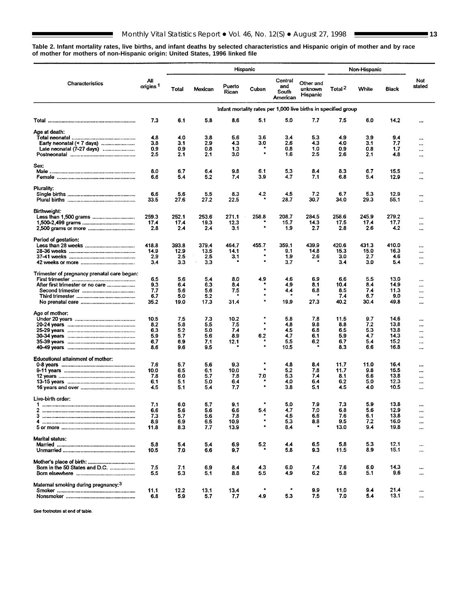<span id="page-12-0"></span>**Table 2. Infant mortality rates, live births, and infant deaths by selected characteristics and Hispanic origin of mother and by race of mother for mothers of non-Hispanic origin: United States, 1996 linked file**

■

|                                                 |                             |             |                  |                 | Hispanic       |                                     |                                                                 | Non-Hispanic       |             |              |                      |
|-------------------------------------------------|-----------------------------|-------------|------------------|-----------------|----------------|-------------------------------------|-----------------------------------------------------------------|--------------------|-------------|--------------|----------------------|
| Characteristics                                 | All<br>origins <sup>1</sup> | Total       | Mexican          | Puerto<br>Rican | Cuban          | Central<br>and<br>South<br>American | Other and<br>unknown<br>Hispanic                                | Total <sup>2</sup> | White       | <b>Black</b> | Not<br>stated        |
|                                                 |                             |             |                  |                 |                |                                     | Infant mortality rates per 1,000 live births in specified group |                    |             |              |                      |
|                                                 | 7.3                         | 6.1         | 5.8              | 8,6             | 5.1            | 5.0                                 | 7.7                                                             | 7.5                | 6.0         | 14.2         |                      |
| Age at death:                                   |                             |             |                  |                 |                |                                     |                                                                 |                    |             |              |                      |
|                                                 | 4.8                         | 4.0         | 3.8              | 5.6             | 3.6            | 3.4                                 | 5.3                                                             | 4.9                | 3.9         | 9.4          | $\cdots$             |
| Early neonatal (< 7 days)                       | 3.8                         | 3.1         | 2.9              | 4.3             | 3.0            | 2.6                                 | 4,3                                                             | 4.0                | 3.1         | 7.7          |                      |
| Late neonatal (7-27 days)                       | 0.9<br>2.5                  | 0.9<br>2.1  | 0.8<br>2.1       | 1.3<br>3.0      | ۰              | 0.8<br>1.6                          | 1.0<br>2.5                                                      | 0.9<br>2.6         | 0.8<br>2.1  | 1.7<br>4.8   | $\ddotsc$<br>        |
| Sex:                                            |                             |             |                  |                 |                |                                     |                                                                 |                    |             |              |                      |
|                                                 | 8.0                         | 6.7         | 6.4              | 9.8             | 6.1            | 5.3                                 | 8.4                                                             | 8.3                | 6.7         | 15.5         | $\ddotsc$            |
|                                                 | 6.6                         | 5.4         | 5.2              | 7.4             | 3.9            | 4.7                                 | 7.1                                                             | 6.8                | 5.4         | 12.9         |                      |
| Plurality:                                      |                             |             |                  |                 |                |                                     |                                                                 |                    |             |              |                      |
|                                                 | 6.6                         | 5.6         | 5.5              | 8.3             | 4.2            | 4.5                                 | 7.2                                                             | 6.7                | 5.3         | 12.9         |                      |
|                                                 | 33.5                        | 27.6        | 27.2             | 22.5            |                | 28.7                                | 30.7                                                            | 34.0               | 29.3        | 55.1         |                      |
| Birthweight:                                    |                             |             |                  |                 |                |                                     |                                                                 |                    |             |              |                      |
|                                                 | 259.3                       | 252.1       | 253.6            | 271.1           | 258.8          | 208.7                               | 284.5                                                           | 258.6              | 245,9       | 279.2        | $\ddotsc$            |
|                                                 | 17.4<br>2.8                 | 17.4<br>2.4 | 19.3<br>2.4      | 12.3<br>3.1     | $\bullet$      | 15.7<br>1.9                         | 14.3<br>2.7                                                     | 17.5<br>2.8        | 17.4<br>2.6 | 17.7<br>4.2  | <br>$\cdots$         |
| Period of gestation:                            |                             |             |                  |                 |                |                                     |                                                                 |                    |             |              |                      |
|                                                 | 418.8                       | 393.8       | 379.4            | 464.7           | 455.7          | 359.1                               | 439.9                                                           | 420.6              | 431.3       | 410.0        | $\cdots$             |
|                                                 | 14.9                        | 12.9        | 13.5             | 14.1            |                | 9.1                                 | 14.8                                                            | 15.3               | 15.0        | 16.3         |                      |
|                                                 | 2.9<br>3.4                  | 2.5<br>3.3  | 2.5<br>Ŷ.<br>3.3 | 3.1<br>٠        | ٠<br>٠         | 1.9<br>3.7                          | 2.6                                                             | 3.0<br>3.4         | 2.7<br>3.0  | 4.6<br>5.4   |                      |
|                                                 |                             |             |                  |                 |                |                                     |                                                                 |                    |             |              | $\ddotsc$            |
| Trimester of pregnancy prenatal care began:     | 6.5                         | 5.6         | 5.4              | 8.0             | 4.9            | 4.6                                 | 6.9                                                             | 6.6                | 5,5         | 13.0         |                      |
| After first trimester or no care                | 9.3                         | 6.4         | 6.3              | 8.4             |                | 4.9                                 | 8.1                                                             | 10.4               | 8.4         | 14.9         | <br>$\ddotsc$        |
|                                                 | 7.7                         | 5.6         | 5.6              | 7.5             | $\bullet$      | 4.4                                 | 6.8                                                             | 8.5                | 7,4         | 11.3         | $\ddotsc$            |
|                                                 | 6.7                         | 5.0         | 5.2              |                 | ÷<br>$\bullet$ |                                     |                                                                 | 7.4                | 6,7         | 9,0          | $\cdots$             |
|                                                 | 35.2                        | 19.0        | 17.3             | 31.4            |                | 19,9                                | 27.3                                                            | 40.2               | 30.4        | 49.8         | $\cdots$             |
| Age of mother:                                  | $\gamma_{\rm a}$            |             |                  |                 |                |                                     |                                                                 |                    |             |              |                      |
|                                                 | 10.5                        | 7.5         | 7.3              | 10.2            | $\bullet$      | 5.8<br>4.8                          | 7.8<br>9.8                                                      | 11.5<br>8.8        | 9.7         | 14.6<br>13.8 |                      |
|                                                 | 8.2<br>6.3                  | 5.8<br>5.2  | 5.5<br>5.0       | 7.5<br>7.4      | $\bullet$      | 4.5                                 | 6.8                                                             | 6.5                | 7.2<br>5.3  | 13.8         | <br>                 |
|                                                 | 5.9                         | 5.7         | 5.6              | 8.9             | 6.2            | 4.7                                 | 6.1                                                             | 5.9                | 4.7         | 14.3         |                      |
|                                                 | 6.7                         | 6.9         | 7.1              | 12.1            |                | 5.5                                 | 6.2                                                             | 6.7                | 5.4         | 15.2         |                      |
|                                                 | 8.6                         | 9.6         | 9.5              |                 |                | 10.5                                |                                                                 | 8.3                | 6.6         | 16.8         | $\ddot{\phantom{a}}$ |
| Educational attainment of mother:               |                             |             |                  |                 |                |                                     |                                                                 |                    |             |              |                      |
|                                                 | 7.6                         | 5.7         | 5.6              | 9,3             | ۰<br>۰         | 4.8                                 | 8.4                                                             | 11.7               | 11.0        | 16.4         |                      |
|                                                 | 10.0<br>7.8                 | 6.5<br>6.0  | 6.1<br>5.7       | 10.0<br>7.8     | 7.0            | 52<br>5.3                           | 7.8<br>7.4                                                      | 11.7<br>8.1        | 9.8<br>6.6  | 15.5<br>13.8 |                      |
|                                                 | 6.1                         | 5.1         | 5.0              | 6.4             | ٠              | 4.0                                 | 6.4                                                             | 6.2                | 5.0         | 12.3         | $\cdots$<br>$\cdots$ |
|                                                 | 4.5                         | 5.1         | 5.4              | 7.7             | $\bullet$      | 3.8                                 | 5.1                                                             | 4.5                | 4.0         | 10.5         | $\ddot{\phantom{a}}$ |
| Live-birth order:                               |                             |             |                  |                 |                |                                     |                                                                 |                    |             |              |                      |
|                                                 | 7.1                         | 6.0         | 5.7              | 9.1             |                | 5,0                                 | 7.9                                                             | 7.3                | 5,9         | 13.8         |                      |
| 2                                               | 6.6                         | 5.6         | 5.6              | 6.6             | 5.4            | 4.7                                 | 7.0                                                             | 6.8                | 5.6         | 12.9         | $\cdots$             |
| з                                               | 7.3                         | 5,7         | 5.6              | 7.8             |                | 4.5                                 | 6.6                                                             | 7.6                | 6.1         | 13.8         |                      |
|                                                 | 8.9<br>11.8                 | 6.9<br>8.3  | 6.5<br>7.7       | 10.9<br>13.9    | $\star$        | 5.3<br>8.4                          | 8.8                                                             | 9.5<br>13.0        | 7.2<br>9.4  | 16.0<br>19.8 | <br>$\ddotsc$        |
|                                                 |                             |             |                  |                 |                |                                     |                                                                 |                    |             |              |                      |
| <b>Marital status:</b>                          | 5.8                         | 5.4         | 5.4              | 6.9             | 5.2            | 44                                  | 6.5                                                             | 5.8                | 5.3         | 12.1         | $\ddotsc$            |
|                                                 | 10.5                        | 7.0         | 6.6              | 9.7             |                | 5.8                                 | 9.3                                                             | 11.5               | 8.9         | 15.1         |                      |
| Mother's place of birth:                        |                             |             |                  |                 |                |                                     |                                                                 |                    |             |              |                      |
| Born in the 50 States and D.C.                  | 7.5                         | 7.1         | 6.9              | 8.4             | 4.3            | 6.0                                 | 7.4                                                             | 7.6                | 6.0         | 14.3         | $\ddotsc$            |
|                                                 | 5.5                         | 5.3         | 5.1              | 8.8             | 5.5            | 4.9                                 | 6.2                                                             | 5.8                | 5.1         | 9.6          | $\ddotsc$            |
| Maternal smoking during pregnancy: <sup>3</sup> |                             |             |                  |                 |                |                                     |                                                                 |                    |             |              |                      |
|                                                 | 11.1                        | 12.2        | 13.1             | 13.4            |                |                                     | 9,9                                                             | 11.0               | 9.4         | 21.4         | $\cdots$             |
|                                                 | 6.8                         | 5.9         | 5.7              | 7.7             | 4.9            | 5.3                                 | 7.5                                                             | 7.0                | 5.4         | 13.1         | $\cdots$             |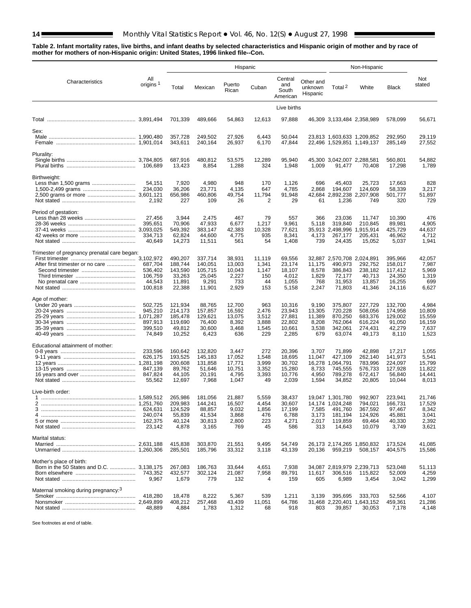**F** 

**Table 2. Infant mortality rates, live births, and infant deaths by selected characteristics and Hispanic origin of mother and by race of mother for mothers of non-Hispanic origin: United States, 1996 linked file--Con.**

|                                             |                             | Hispanic           |                    |                  |                |                                     |                                  |                            | Non-Hispanic                                             |                    |                  |
|---------------------------------------------|-----------------------------|--------------------|--------------------|------------------|----------------|-------------------------------------|----------------------------------|----------------------------|----------------------------------------------------------|--------------------|------------------|
| Characteristics                             | All<br>origins <sup>1</sup> | Total              | Mexican            | Puerto<br>Rican  | Cuban          | Central<br>and<br>South<br>American | Other and<br>unknown<br>Hispanic | Total <sup>2</sup>         | White                                                    | <b>Black</b>       | Not<br>stated    |
|                                             |                             |                    |                    |                  |                | Live births                         |                                  |                            |                                                          |                    |                  |
|                                             |                             | 701,339            | 489,666            | 54,863           | 12,613         | 97,888                              |                                  |                            | 46,309 3,133,484 2,358,989                               | 578,099            | 56,671           |
| Sex:                                        |                             |                    |                    |                  |                |                                     |                                  |                            |                                                          |                    |                  |
|                                             |                             | 357,728<br>343,611 | 249,502<br>240,164 | 27,926<br>26,937 | 6,443<br>6,170 | 50,044<br>47,844                    |                                  |                            | 23,813 1,603,633 1,209,852<br>22,496 1,529,851 1,149,137 | 292,950<br>285,149 | 29,119<br>27,552 |
| Plurality:                                  |                             |                    |                    |                  |                |                                     |                                  |                            |                                                          |                    |                  |
|                                             |                             | 687,916            | 480,812            | 53.575           | 12,289         | 95.940                              |                                  |                            | 45,300 3,042,007 2,288,581                               | 560,801            | 54,882           |
|                                             | 106.689                     | 13,423             | 8,854              | 1,288            | 324            | 1,948                               | 1,009                            | 91,477                     | 70,408                                                   | 17,298             | 1,789            |
| Birthweight:                                |                             |                    |                    |                  |                |                                     |                                  |                            |                                                          |                    |                  |
| Less than 1,500 grams                       | 54,151                      | 7,920              | 4,980              | 948              | 170            | 1,126                               | 696                              | 45,403                     | 25,723                                                   | 17,663             | 828              |
|                                             | 234,030                     | 36,206             | 23,771             | 4,135            | 647            | 4,785                               | 2,868                            | 194,607                    | 124,609                                                  | 58,339             | 3,217            |
|                                             | 2,192                       | 656,986<br>227     | 460,806<br>109     | 49,754<br>26     | 11,794<br>2    | 91,948<br>29                        | 61                               | 1,236                      | 42,684 2,892,238 2,207,908<br>749                        | 501,777<br>320     | 51,897<br>729    |
|                                             |                             |                    |                    |                  |                |                                     |                                  |                            |                                                          |                    |                  |
| Period of gestation:                        |                             |                    |                    |                  |                |                                     |                                  |                            |                                                          |                    |                  |
|                                             | 27,456<br>395,651           | 3,944<br>70,906    | 2,475<br>47,933    | 467<br>6,677     | 79<br>1,217    | 557<br>9,961                        | 366<br>5,118                     | 23,036<br>319,840          | 11,747<br>210,845                                        | 10,390<br>89,981   | 476<br>4,905     |
|                                             |                             | 549,392            | 383,147            | 42,383           | 10,328         | 77,621                              |                                  | 35,913 2,498,996           | 1,915,914                                                | 425,729            | 44.637           |
|                                             | 334,713                     | 62,824             | 44,600             | 4,775            | 935            | 8,341                               | 4,173                            | 267,177                    | 205,431                                                  | 46.962             | 4,712            |
|                                             | 40.649                      | 14,273             | 11,511             | 561              | 54             | 1,408                               | 739                              | 24,435                     | 15,052                                                   | 5,037              | 1,941            |
| Trimester of pregnancy prenatal care began: |                             |                    |                    |                  |                |                                     |                                  |                            |                                                          |                    |                  |
|                                             |                             | 490,207            | 337.714            | 38,931           | 11,119         | 69,556                              |                                  | 32,887 2,570,708 2,024,891 |                                                          | 395,966            | 42,057           |
| After first trimester or no care            | 687,704                     | 188.744            | 140,051            | 13,003           | 1,341          | 23,174                              | 11,175                           | 490,973                    | 292,752                                                  | 158,017            | 7,987            |
|                                             | 536,402<br>106,759          | 143,590<br>33,263  | 105,715<br>25,045  | 10,043<br>2,227  | 1,147<br>150   | 18,107<br>4,012                     | 8,578<br>1,829                   | 386,843<br>72,177          | 238,182<br>40,713                                        | 117,412<br>24,350  | 5,969<br>1,319   |
|                                             | 44,543                      | 11,891             | 9,291              | 733              | 44             | 1,055                               | 768                              | 31,953                     | 13,857                                                   | 16,255             | 699              |
|                                             | 100,818                     | 22,388             | 11,901             | 2,929            | 153            | 5,158                               | 2,247                            | 71,803                     | 41,346                                                   | 24,116             | 6,627            |
| Age of mother:                              |                             |                    |                    |                  |                |                                     |                                  |                            |                                                          |                    |                  |
|                                             | 502,725                     | 121,934            | 88,765             | 12,700           | 963            | 10,316                              | 9,190                            | 375,807                    | 227,729                                                  | 132,700            | 4,984            |
|                                             | 945,210                     | 214,173            | 157,857            | 16,592           | 2,476          | 23,943                              | 13,305                           | 720,228                    | 508,056                                                  | 174,958            | 10,809           |
|                                             | 897,913                     | 185,478<br>119,690 | 129,621<br>76,400  | 13,075<br>8,392  | 3,512<br>3,888 | 27,881<br>22,802                    | 11,389<br>8,208                  | 870,250<br>762,064         | 683,376<br>616,224                                       | 129,002<br>91,050  | 15,559<br>16,159 |
|                                             | 399,510                     | 49,812             | 30,600             | 3,468            | 1,545          | 10,661                              | 3,538                            | 342,061                    | 274,431                                                  | 42,279             | 7,637            |
|                                             | 74,849                      | 10,252             | 6,423              | 636              | 229            | 2,285                               | 679                              | 63,074                     | 49,173                                                   | 8,110              | 1,523            |
| Educational attainment of mother:           |                             |                    |                    |                  |                |                                     |                                  |                            |                                                          |                    |                  |
|                                             | 233,596                     | 160,642            | 132,820            | 3,447            | 272            | 20,396                              | 3,707                            | 71,899                     | 42,898                                                   | 17,217             | 1,055            |
|                                             | 626,175                     | 193,525            | 145,183            | 17,052           | 1,548          | 18,695                              | 11,047                           | 427,109                    | 262,140                                                  | 141,973            | 5,541            |
|                                             | 847.139                     | 200,608<br>89,762  | 131,858<br>51,646  | 17,771<br>10,751 | 3,999<br>3,352 | 30,702<br>15,280                    | 16,278<br>8,733                  | 1,064,791<br>745,555       | 783,996<br>576,733                                       | 224,097<br>127,928 | 15,799<br>11,822 |
|                                             | 847,824                     | 44,105             | 20.191             | 4,795            | 3,393          | 10,776                              | 4,950                            | 789,278                    | 672,417                                                  | 56.840             | 14,441           |
|                                             | 55,562                      | 12,697             | 7,968              | 1,047            | 49             | 2,039                               | 1,594                            | 34,852                     | 20,805                                                   | 10,044             | 8,013            |
| Live-birth order:                           |                             |                    |                    |                  |                |                                     |                                  |                            |                                                          |                    |                  |
|                                             |                             | 265.986            | 181.056            | 21,887           | 5,559          | 38,437                              |                                  | 19,047 1,301,780           | 992.907                                                  | 223,941            | 21,746           |
| 2                                           |                             | 209.983            | 144.241            | 16.507           | 4.454          | 30.607                              |                                  | 14.174 1.024.248           | 794.021                                                  | 166.731            | 17.529           |
|                                             | 624,631<br>240.074          | 124,529<br>55,839  | 88,857<br>41,534   | 9,032<br>3,868   | 1,856<br>476   | 17,199<br>6,788                     | 7,585<br>3,173                   | 491,760<br>181,194         | 367,592<br>124,926                                       | 97,467<br>45,881   | 8,342<br>3,041   |
|                                             | 162.375                     | 40,124             | 30,813             | 2,800            | 223            | 4,271                               | 2,017                            | 119,859                    | 69,464                                                   | 40,330             | 2,392            |
|                                             | 23,142                      | 4,878              | 3,165              | 769              | 45             | 586                                 | 313                              | 14,643                     | 10,079                                                   | 3,749              | 3,621            |
| Marital status:                             |                             |                    |                    |                  |                |                                     |                                  |                            |                                                          |                    |                  |
|                                             |                             | 415,838            | 303,870            | 21,551           | 9,495          | 54,749                              |                                  |                            | 26,173 2,174,265 1,850,832                               | 173,524            | 41,085           |
|                                             |                             | 285,501            | 185,796            | 33,312           | 3,118          | 43,139                              | 20,136                           | 959,219                    | 508,157                                                  | 404,575            | 15,586           |
| Mother's place of birth:                    |                             |                    |                    |                  |                |                                     |                                  |                            |                                                          |                    |                  |
|                                             |                             | 267,083            | 186,763            | 33,644           | 4,651          | 7,938                               |                                  |                            | 34,087 2,819,979 2,239,713                               | 523,048            | 51,113           |
|                                             |                             | 432,577            | 302,124            | 21,087           | 7,958          | 89,791                              | 11,617                           | 306,516                    | 115,822                                                  | 52,009             | 4,259            |
|                                             | 9,967                       | 1,679              | 779                | 132              | 4              | 159                                 | 605                              | 6,989                      | 3,454                                                    | 3,042              | 1,299            |
| Maternal smoking during pregnancy: 3        |                             |                    |                    |                  |                |                                     |                                  |                            |                                                          |                    |                  |
|                                             | 418,280                     | 18,478<br>408,212  | 8,222              | 5,367<br>43,439  | 539<br>11,051  | 1,211                               | 3,139                            | 395,695                    | 333,703                                                  | 52,566<br>459,361  | 4,107<br>21,286  |
|                                             | 48,889                      | 4,884              | 257,468<br>1,783   | 1,312            | 68             | 64,786<br>918                       | 803                              | 39,857                     | 31,468 2,220,401 1,643,152<br>30,053                     | 7,178              | 4,148            |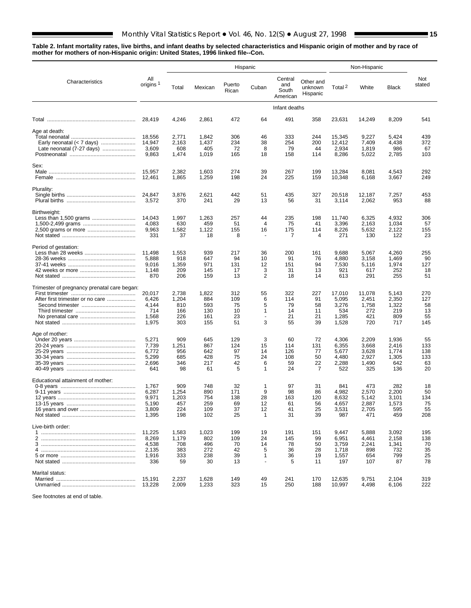**Table 2. Infant mortality rates, live births, and infant deaths by selected characteristics and Hispanic origin of mother and by race of mother for mothers of non-Hispanic origin: United States, 1996 linked file--Con.**

|                                                                                 |                                                    |                                            |                                          |                                    | Hispanic                                   |                                     |                                   | Non-Hispanic                                      |                                                  |                                                |                                     |
|---------------------------------------------------------------------------------|----------------------------------------------------|--------------------------------------------|------------------------------------------|------------------------------------|--------------------------------------------|-------------------------------------|-----------------------------------|---------------------------------------------------|--------------------------------------------------|------------------------------------------------|-------------------------------------|
| Characteristics                                                                 | All<br>origins <sup>1</sup>                        | Total                                      | Mexican                                  | Puerto<br>Rican                    | Cuban                                      | Central<br>and<br>South<br>American | Other and<br>unknown<br>Hispanic  | Total <sup>2</sup>                                | White                                            | <b>Black</b>                                   | Not<br>stated                       |
|                                                                                 |                                                    |                                            |                                          |                                    |                                            | Infant deaths                       |                                   |                                                   |                                                  |                                                |                                     |
|                                                                                 | 28,419                                             | 4,246                                      | 2,861                                    | 472                                | 64                                         | 491                                 | 358                               | 23,631                                            | 14,249                                           | 8,209                                          | 541                                 |
| Age at death:<br>Late neonatal (7-27 days)                                      | 18,556<br>14,947<br>3,609<br>9,863                 | 2,771<br>2,163<br>608<br>1,474             | 1,842<br>1,437<br>405<br>1,019           | 306<br>234<br>72<br>165            | 46<br>38<br>8<br>18                        | 333<br>254<br>79<br>158             | 244<br>200<br>44<br>114           | 15,345<br>12.412<br>2,934<br>8,286                | 9,227<br>7,409<br>1,819<br>5,022                 | 5,424<br>4,438<br>986<br>2,785                 | 439<br>372<br>67<br>103             |
| Sex:                                                                            |                                                    |                                            |                                          |                                    |                                            |                                     |                                   |                                                   |                                                  |                                                |                                     |
|                                                                                 | 15,957<br>12,461                                   | 2,382<br>1,865                             | 1,603<br>1,259                           | 274<br>198                         | 39<br>24                                   | 267<br>225                          | 199<br>159                        | 13,284<br>10,348                                  | 8,081<br>6,168                                   | 4,543<br>3,667                                 | 292<br>249                          |
| Plurality:                                                                      | 24,847<br>3,572                                    | 3,876<br>370                               | 2,621<br>241                             | 442<br>29                          | 51<br>13                                   | 435<br>56                           | 327<br>31                         | 20,518<br>3,114                                   | 12,187<br>2,062                                  | 7,257<br>953                                   | 453<br>88                           |
| Birthweight:                                                                    | 14,043<br>4.083<br>9,963<br>331                    | 1,997<br>630<br>1,582<br>37                | 1,263<br>459<br>1,122<br>18              | 257<br>51<br>155<br>8              | 44<br>4<br>16<br>$\overline{a}$            | 235<br>75<br>175<br>7               | 198<br>41<br>114<br>4             | 11,740<br>3,396<br>8,226<br>271                   | 6,325<br>2,163<br>5,632<br>130                   | 4,932<br>1,034<br>2,122<br>122                 | 306<br>57<br>155<br>23              |
| Period of gestation:                                                            | 11,498<br>5,888<br>9,016<br>1,148<br>870           | 1,553<br>918<br>1,359<br>209<br>206        | 939<br>647<br>971<br>145<br>159          | 217<br>94<br>131<br>17<br>13       | 36<br>10<br>12<br>3<br>$\overline{2}$      | 200<br>91<br>151<br>31<br>18        | 161<br>76<br>94<br>13<br>14       | 9,688<br>4,880<br>7,530<br>921<br>613             | 5,067<br>3,158<br>5,116<br>617<br>291            | 4,260<br>1,469<br>1,974<br>252<br>255          | 255<br>90<br>127<br>18<br>51        |
| Trimester of pregnancy prenatal care began:<br>After first trimester or no care | 20,017<br>6,426<br>4,144<br>714<br>1,568<br>1,975  | 2,738<br>1,204<br>810<br>166<br>226<br>303 | 1,822<br>884<br>593<br>130<br>161<br>155 | 312<br>109<br>75<br>10<br>23<br>51 | 55<br>6<br>5<br>1<br>$\blacksquare$<br>3   | 322<br>114<br>79<br>14<br>21<br>55  | 227<br>91<br>58<br>11<br>21<br>39 | 17,010<br>5,095<br>3,276<br>534<br>1,285<br>1,528 | 11,078<br>2,451<br>1,758<br>272<br>421<br>720    | 5,143<br>2,350<br>1,322<br>219<br>809<br>717   | 270<br>127<br>58<br>13<br>55<br>145 |
| Age of mother:                                                                  | 5,271<br>7,739<br>6,772<br>5,299<br>2,696<br>641   | 909<br>1,251<br>956<br>685<br>346<br>98    | 645<br>867<br>642<br>428<br>217<br>61    | 129<br>124<br>97<br>75<br>42<br>5  | 3<br>15<br>14<br>24<br>6<br>1              | 60<br>114<br>126<br>108<br>59<br>24 | 72<br>131<br>77<br>50<br>22<br>7  | 4,306<br>6,355<br>5,677<br>4,480<br>2,288<br>522  | 2,209<br>3,668<br>3,628<br>2,927<br>1,490<br>325 | 1,936<br>2,416<br>1,774<br>1,305<br>642<br>136 | 55<br>133<br>138<br>133<br>63<br>20 |
| Educational attainment of mother:                                               | 1,767<br>6,287<br>9,971<br>5,190<br>3,809<br>1,395 | 909<br>1,254<br>1,203<br>457<br>224<br>198 | 748<br>890<br>754<br>259<br>109<br>102   | 32<br>171<br>138<br>69<br>37<br>25 | 1<br>9<br>28<br>12<br>12<br>$\mathbf 1$    | 97<br>98<br>163<br>61<br>41<br>31   | 31<br>86<br>120<br>56<br>25<br>39 | 841<br>4,982<br>8,632<br>4,657<br>3,531<br>987    | 473<br>2,570<br>5,142<br>2,887<br>2,705<br>471   | 282<br>2,200<br>3,101<br>1,573<br>595<br>459   | 18<br>50<br>134<br>75<br>55<br>208  |
| Live-birth order:                                                               | 11,225<br>8,269<br>4,538<br>2,135<br>1,916<br>336  | 1,583<br>1,179<br>708<br>383<br>333<br>59  | 1,023<br>802<br>496<br>272<br>238<br>30  | 199<br>109<br>70<br>42<br>39<br>13 | 19<br>24<br>14<br>5<br>1<br>$\blacksquare$ | 191<br>145<br>78<br>36<br>36<br>5   | 151<br>99<br>50<br>28<br>19<br>11 | 9,447<br>6,951<br>3,759<br>1,718<br>1,557<br>197  | 5,888<br>4,461<br>2,241<br>898<br>654<br>107     | 3,092<br>2,158<br>1,341<br>732<br>799<br>87    | 195<br>138<br>70<br>35<br>25<br>78  |
| Marital status:                                                                 | 15,191<br>13,228                                   | 2,237<br>2,009                             | 1,628<br>1,233                           | 149<br>323                         | 49<br>15                                   | 241<br>250                          | 170<br>188                        | 12,635<br>10,997                                  | 9,751<br>4,498                                   | 2,104<br>6,106                                 | 319<br>222                          |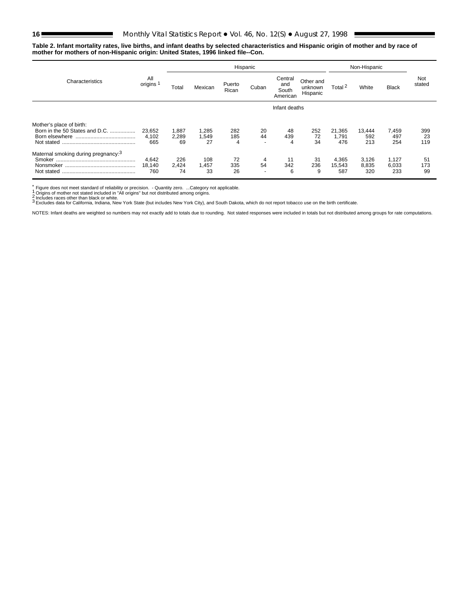$\blacksquare$ 

#### **Table 2. Infant mortality rates, live births, and infant deaths by selected characteristics and Hispanic origin of mother and by race of mother for mothers of non-Hispanic origin: United States, 1996 linked file--Con.**

|                                                                          |                        | Hispanic             |                      |                 |                                      |                                     |                                  |                        | Non-Hispanic          |                       |                  |
|--------------------------------------------------------------------------|------------------------|----------------------|----------------------|-----------------|--------------------------------------|-------------------------------------|----------------------------------|------------------------|-----------------------|-----------------------|------------------|
| Characteristics                                                          | All<br>origins         | Total                | Mexican              | Puerto<br>Rican | Cuban                                | Central<br>and<br>South<br>American | Other and<br>unknown<br>Hispanic | Total <sup>2</sup>     | White                 | <b>Black</b>          | Not<br>stated    |
|                                                                          |                        |                      |                      |                 |                                      | Infant deaths                       |                                  |                        |                       |                       |                  |
| Mother's place of birth:<br>Born in the 50 States and D.C.<br>Not stated | 23.652<br>4.102<br>665 | 1,887<br>2,289<br>69 | 285. ا<br>.549<br>27 | 282<br>185<br>4 | 20<br>44<br>$\overline{\phantom{0}}$ | 48<br>439<br>4                      | 252<br>72<br>34                  | 21,365<br>1.791<br>476 | 13.444<br>592<br>213  | 7,459<br>497<br>254   | 399<br>23<br>119 |
| Maternal smoking during pregnancy: <sup>3</sup><br>Not stated            | 4,642<br>18,140<br>760 | 226<br>2,424<br>74   | 108<br>1,457<br>33   | 72<br>335<br>26 | 4<br>54<br>$\overline{\phantom{0}}$  | 11<br>342<br>6                      | 31<br>236<br>9                   | 4,365<br>15,543<br>587 | 3,126<br>8,835<br>320 | 1,127<br>6,033<br>233 | 51<br>173<br>99  |

້ Figure does not meet standard of reliability or precision. - Quantity zero. ...Category not applicable.<br>1 Origins of mother not stated included in "All origins" but not distributed among origins.<br>2 Includes races oth

NOTES: Infant deaths are weighted so numbers may not exactly add to totals due to rounding. Not stated responses were included in totals but not distributed among groups for rate computations.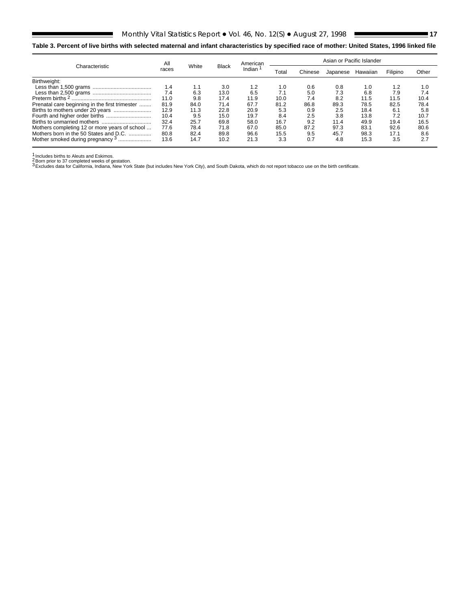## <span id="page-16-0"></span>**Table 3. Percent of live births with selected maternal and infant characteristics by specified race of mother: United States, 1996 linked file**

| Characteristic                                 | All   | White |              | American            | Asian or Pacific Islander |         |          |          |          |       |
|------------------------------------------------|-------|-------|--------------|---------------------|---------------------------|---------|----------|----------|----------|-------|
|                                                | races |       | <b>Black</b> | Indian <sup>1</sup> | Total                     | Chinese | Japanese | Hawaiian | Filipino | Other |
| Birthweight:                                   |       |       |              |                     |                           |         |          |          |          |       |
|                                                | 1.4   | 1.1   | 3.0          | 1.2                 | 1.0                       | 0.6     | 0.8      | 1.0      | 1.2      | 1.0   |
|                                                | 7.4   | 6.3   | 13.0         | 6.5                 | 7.1                       | 5.0     | 7.3      | 6.8      | 7.9      | 7.4   |
|                                                | 11.0  | 9.8   | 17.4         | 11.9                | 10.0                      | 7.4     | 8.2      | 11.5     | 11.5     | 10.4  |
| Prenatal care beginning in the first trimester | 81.9  | 84.0  | 71.4         | 67.7                | 81.2                      | 86.8    | 89.3     | 78.5     | 82.5     | 78.4  |
|                                                | 12.9  | 11.3  | 22.8         | 20.9                | 5.3                       | 0.9     | 2.5      | 18.4     | 6.1      | 5.8   |
|                                                | 10.4  | 9.5   | 15.0         | 19.7                | 8.4                       | 2.5     | 3.8      | 13.8     | 7.2      | 10.7  |
|                                                | 32.4  | 25.7  | 69.8         | 58.0                | 16.7                      | 9.2     | 11.4     | 49.9     | 19.4     | 16.5  |
| Mothers completing 12 or more years of school  | 77.6  | 78.4  | 71.8         | 67.0                | 85.0                      | 87.2    | 97.3     | 83.1     | 92.6     | 80.6  |
| Mothers born in the 50 States and D.C.         | 80.8  | 82.4  | 89.8         | 96.6                | 15.5                      | 9.5     | 45.7     | 98.3     | 17.1     | 8.6   |
| Mother smoked during pregnancy <sup>3</sup>    | 13.6  | 14.7  | 10.2         | 21.3                | 3.3                       | 0.7     | 4.8      | 15.3     | 3.5      | 2.7   |

E

<sup>1</sup> Includes births to Aleuts and Eskimos.<br>2 Born prior to 37 completed weeks of gestation.<br><sup>3</sup> Excludes data for California, Indiana, New York State (but includes New York City), and South Dakota, which do not report tob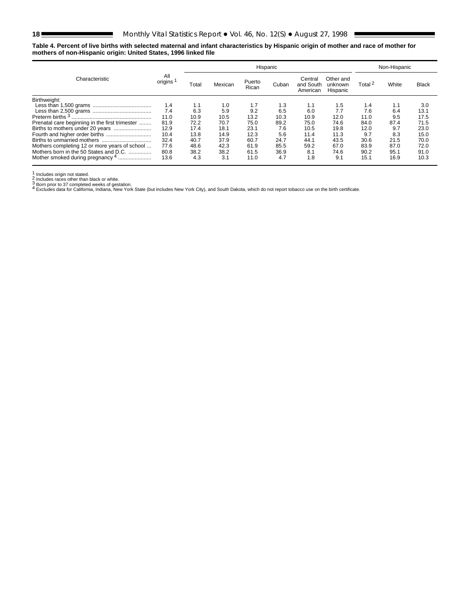E

#### <span id="page-17-0"></span>**Table 4. Percent of live births with selected maternal and infant characteristics by Hispanic origin of mother and race of mother for mothers of non-Hispanic origin: United States, 1996 linked file**

| Characteristic                                 |                |       |         | Non-Hispanic    |       |                                  |                                  |                    |       |              |
|------------------------------------------------|----------------|-------|---------|-----------------|-------|----------------------------------|----------------------------------|--------------------|-------|--------------|
|                                                | All<br>origins | Total | Mexican | Puerto<br>Rican | Cuban | Central<br>and South<br>American | Other and<br>unknown<br>Hispanic | Total <sup>2</sup> | White | <b>Black</b> |
| Birthweight:                                   |                |       |         |                 |       |                                  |                                  |                    |       |              |
|                                                | 1.4            | 1.1   | 1.0     | 1.7             | 1.3   | 1.1                              | 1.5                              | 1.4                | 1.1   | 3.0          |
|                                                | 7.4            | 6.3   | 5.9     | 9.2             | 6.5   | 6.0                              | 7.7                              | 7.6                | 6.4   | 13.1         |
| Preterm births <sup>3</sup>                    | 11.0           | 10.9  | 10.5    | 13.2            | 10.3  | 10.9                             | 12.0                             | 11.0               | 9.5   | 17.5         |
| Prenatal care beginning in the first trimester | 81.9           | 72.2  | 70.7    | 75.0            | 89.2  | 75.0                             | 74.6                             | 84.0               | 87.4  | 71.5         |
|                                                | 12.9           | 17.4  | 18.1    | 23.1            | 7.6   | 10.5                             | 19.8                             | 12.0               | 9.7   | 23.0         |
|                                                | 10.4           | 13.8  | 14.9    | 12.3            | 5.6   | 11.4                             | 11.3                             | 9.7                | 8.3   | 15.0         |
|                                                | 32.4           | 40.7  | 37.9    | 60.7            | 24.7  | 44.1                             | 43.5                             | 30.6               | 21.5  | 70.0         |
| Mothers completing 12 or more years of school  | 77.6           | 48.6  | 42.3    | 61.9            | 85.5  | 59.2                             | 67.0                             | 83.9               | 87.0  | 72.0         |
| Mothers born in the 50 States and D.C.         | 80.8           | 38.2  | 38.2    | 61.5            | 36.9  | 8.1                              | 74.6                             | 90.2               | 95.1  | 91.0         |
| Mother smoked during pregnancy 4               | 13.6           | 4.3   | 3.1     | 11.0            | 4.7   | 1.8                              | 9.1                              | 15.1               | 16.9  | 10.3         |

1 Includes origin not stated.<br>2 Includes races other than black or white.<br>3 Born prior to 37 completed weeks of gestation.<br>4 Excludes data for California, Indiana, New York State (but includes New York City), and South Dak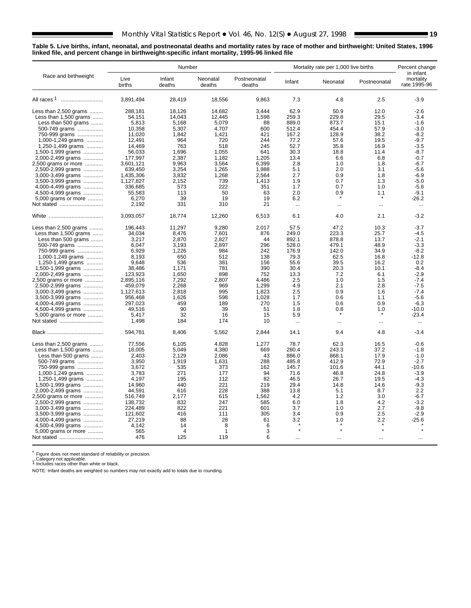#### <span id="page-18-0"></span>**Table 5. Live births, infant, neonatal, and postneonatal deaths and mortality rates by race of mother and birthweight: United States, 1996 linked file, and percent change in birthweight-specific infant mortality, 1995-96 linked file**

|                                        |                | Number               |                    |                        | Mortality rate per 1,000 live births | Percent change |              |                                        |  |
|----------------------------------------|----------------|----------------------|--------------------|------------------------|--------------------------------------|----------------|--------------|----------------------------------------|--|
| Race and birthweight                   | Live<br>births | Infant<br>deaths     | Neonatal<br>deaths | Postneonatal<br>deaths | Infant                               | Neonatal       | Postneonatal | in infant<br>mortality<br>rate 1995-96 |  |
|                                        | 3,891,494      | 28,419               | 18,556             | 9,863                  | 7.3                                  | 4.8            | 2.5          | $-3.9$                                 |  |
| Less than 2,500 grams                  | 288.181        | 18.126               | 14.682             | 3.444                  | 62.9                                 | 50.9           | 12.0         | $-2.6$                                 |  |
| Less than 1,500 grams                  | 54,151         | 14,043               | 12,445             | 1,598                  | 259.3                                | 229.8          | 29.5         | $-3.4$                                 |  |
| Less than 500 grams                    | 5,813          | 5,168                | 5.079              | 88                     | 889.0                                | 873.7          | 15.1         | $-1.6$                                 |  |
| 500-749 grams                          | 10.358         | 5.307                | 4.707              | 600                    | 512.4                                | 454.4          | 57.9         | $-3.0$                                 |  |
| 750-999 grams                          | 11,020         | 1,842                | 1,421              | 421                    | 167.2                                | 128.9          | 38.2         | $-8.2$                                 |  |
| 1,000-1,249 grams                      | 12,491         | 964                  | 720                | 244                    | 77.2                                 | 57.6           | 19.5         | $-9.7$                                 |  |
| 1,250-1,499 grams                      | 14,469         | 763                  | 518                | 245                    | 52.7                                 | 35.8           | 16.9         | $-3.5$                                 |  |
| 1,500-1,999 grams                      | 56,033         | 1,696                | 1,055              | 641                    | 30.3                                 | 18.8           | 11.4         | $-8.7$                                 |  |
| 2,000-2,499 grams                      | 177,997        | 2,387                | 1,182              | 1.205                  | 13.4                                 | 6.6            | 6.8          | $-0.7$                                 |  |
| 2,500 grams or more                    | 3,601,121      | 9,963                | 3,564              | 6.399                  | 2.8                                  | 1.0            | 1.8          | $-6.7$                                 |  |
| 2,500-2,999 grams                      | 639,450        | 3,254                | 1,265              | 1,988                  | 5.1                                  | 2.0            | 3.1          | $-5.6$                                 |  |
| 3,000-3,499 grams                      | 1,435,306      | 3,832                | 1,268              | 2,564                  | 2.7                                  | 0.9            | 1.8          | $-6.9$                                 |  |
| 3,500-3,999 grams                      | 1,127,827      | 2.152                | 739                | 1.413                  | 1.9                                  | 0.7            | 1.3          | $-5.0$                                 |  |
| 4,000-4,499 grams                      | 336,685        | 573                  | 222                | 351                    | 1.7                                  | 0.7            | 1.0          | $-5.6$                                 |  |
| 4,500-4,999 grams                      | 55,583         | 113                  | 50                 | 63                     | 2.0                                  | 0.9            | 1.1          | $-9.1$                                 |  |
| 5,000 grams or more                    | 6,270          | 39                   | 19                 | 19                     | 6.2                                  |                | $\star$      | $-26.2$                                |  |
| Not stated                             | 2,192          | 331                  | 310                | 21                     |                                      |                |              |                                        |  |
|                                        |                |                      |                    |                        | $\ddotsc$                            | $\ddotsc$      | $\ddotsc$    | $\ddotsc$                              |  |
|                                        | 3,093,057      | 18,774               | 12,260             | 6,513                  | 6.1                                  | 4.0            | 2.1          | $-3.2$                                 |  |
| Less than 2,500 grams                  | 196,443        | 11,297               | 9,280              | 2,017                  | 57.5                                 | 47.2           | 10.3         | $-3.7$                                 |  |
| Less than $1,500$ grams                | 34.034         | 8,476                | 7,601              | 876                    | 249.0                                | 223.3          | 25.7         | $-4.5$                                 |  |
| Less than 500 grams                    | 3,217          | 2,870                | 2,827              | 44                     | 892.1                                | 878.8          | 13.7         | $-2.1$                                 |  |
| 500-749 grams                          | 6.047          | 3,193                | 2,897              | 296                    | 528.0                                | 479.1          | 48.9         | $-3.3$                                 |  |
| 750-999 grams                          | 6,929          | 1,226                | 984                | 242                    | 176.9                                | 142.0          | 34.9         | $-8.2$                                 |  |
| 1,000-1,249 grams                      | 8,193          | 650                  | 512                | 138                    | 79.3                                 | 62.5           | 16.8         | $-12.8$                                |  |
| 1,250-1,499 grams                      | 9,648          | 536                  | 381                | 156                    | 55.6                                 | 39.5           | 16.2         | 0.2                                    |  |
| 1,500-1,999 grams                      | 38,486         | 1,171                | 781                | 390                    | 30.4                                 | 20.3           | 10.1         | $-8.4$                                 |  |
| 2,000-2,499 grams                      | 123,923        | 1,650                | 898                | 752                    | 13.3                                 | 7.2            | 6.1          | $-2.9$                                 |  |
| 2,500 grams or more                    | 2,895,116      | 7,292                | 2,807              | 4,486                  | 2.5                                  | 1.0            | 1.5          | $-7.4$                                 |  |
| 2,500-2,999 grams                      | 459,079        | 2,268                | 969                | 1,299                  | 4.9                                  | 2.1            | 2.8          | $-7.5$                                 |  |
| 3,000-3,499 grams                      | 1,127,613      | 2.818                | 995                | 1.823                  | 2.5                                  | 0.9            | 1.6          | $-7.4$                                 |  |
| 3,500-3,999 grams                      | 956,468        | 1.626                | 598                | 1.028                  | 1.7                                  | 0.6            | 1.1          | $-5.6$                                 |  |
| 4,000-4,499 grams                      | 297,023        | 459                  | 189                | 270                    | 1.5                                  | 0.6            | 0.9          | $-6.3$                                 |  |
| 4,500-4,999 grams                      | 49,516         | 90                   | 39                 | 51                     | 1.8                                  | 0.8            | 1.0          | $-10.0$                                |  |
| 5,000 grams or more                    | 5.417          | 32                   | 16                 | 15                     | 5.9                                  |                |              | $-23.4$                                |  |
|                                        | 1,498          | 184                  | 174                | 10                     |                                      |                |              |                                        |  |
| Not stated                             |                |                      |                    |                        | $\ldots$                             | $\cdots$       | $\ddotsc$    | $\sim$                                 |  |
|                                        | 594,781        | 8,406                | 5,562              | 2,844                  | 14.1                                 | 9.4            | 4.8          | $-3.4$                                 |  |
| Less than 2,500 grams                  | 77,556         | 6,105                | 4.828              | 1,277                  | 78.7                                 | 62.3           | 16.5         | $-0.6$                                 |  |
| Less than 1,500 grams                  | 18.005         | 5,049                | 4,380              | 669                    | 280.4                                | 243.3          | 37.2         | $-1.8$                                 |  |
| Less than 500 grams                    | 2.403          | 2,129                | 2,086              | 43                     | 886.0                                | 868.1          | 17.9         | $-1.0$                                 |  |
| 500-749 grams                          | 3,950          | 1,919                | 1,631              | 288                    | 485.8                                | 412.9          | 72.9         | $-2.7$                                 |  |
| 750-999 grams                          | 3.672          | 535                  | 373                | 162                    | 145.7                                | 101.6          | 44.1         | $-10.6$                                |  |
| 1,000-1,249 grams                      | 3,783          | 271                  | 177                | 94                     | 71.6                                 | 46.8           | 24.8         | $-3.9$                                 |  |
| 1,250-1,499 grams                      | 4.197          | 195                  | 112                | 82                     | 46.5                                 | 26.7           | 19.5         | $-4.3$                                 |  |
| 1,500-1,999 grams                      | 14,960         | 440                  | 221                | 219                    | 29.4                                 | 14.8           | 14.6         | $-9.3$                                 |  |
| 2,000-2,499 grams                      | 44.591         | 616                  | 228                | 388                    | 13.8                                 | 5.1            | 8.7          | 2.2                                    |  |
| 2,500 grams or more                    | 516,749        | 2,177                | 615                | 1,562                  | 4.2                                  | 1.2            | 3.0          | $-6.7$                                 |  |
| 2,500-2,999 grams                      | 138,732        | 832                  | 247                | 585                    | 6.0                                  | 1.8            | 4.2          | $-3.2$                                 |  |
| 3,000-3,499 grams                      | 224,489        | 822                  | 221                | 601                    | 3.7                                  | 1.0            | 2.7          | $-9.8$                                 |  |
| 3,500-3,999 grams                      | 121,602        | 416                  | 111                | 305                    | 3.4                                  | 0.9            | 2.5          | $-2.9$                                 |  |
|                                        | 27,219         | 88                   | 28                 | 61                     | 3.2                                  | 1.0            | 2.2          | $-25.6$                                |  |
| 4,000-4,499 grams<br>4,500-4,999 grams | 4,142          |                      | 8                  |                        |                                      |                |              |                                        |  |
| 5,000 grams or more                    | 565            | 14<br>$\overline{4}$ | 1                  | 6<br>3                 |                                      | $\star$        | $\star$      |                                        |  |
| Not stated                             | 476            | 125                  | 119                | 6                      |                                      |                |              |                                        |  |
|                                        |                |                      |                    |                        | $\ddotsc$                            | $\cdots$       | $\ddotsc$    | $\ddotsc$                              |  |

\* Figure does not meet standard of reliability or precision.<br>...Category not applicable.<br><sup>1</sup> Includes races other than white or black.

NOTE: Infant deaths are weighted so numbers may not exactly add to totals due to rounding.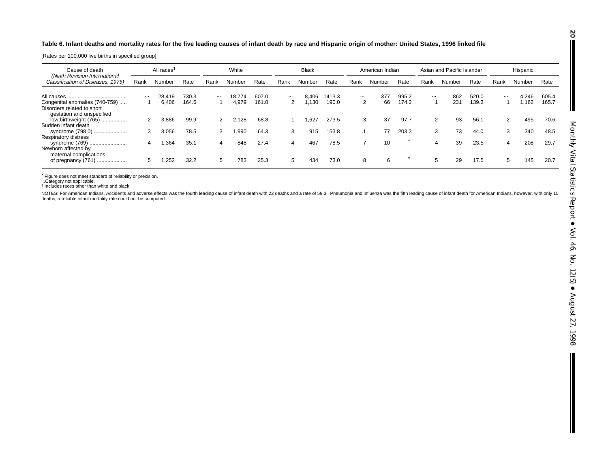#### <span id="page-19-0"></span>**Table 6. Infant deaths and mortality rates for the five leading causes of infant death by race and Hispanic origin of mother: United States, 1996 linked file**

[Rates per 100,000 live births in specified group]

| All races <sup>1</sup><br>Cause of death                                                  |          |        | White |          |        | <b>Black</b> |          | American Indian |        | Asian and Pacific Islander |        |       | Hispanic |        |       |          |        |       |
|-------------------------------------------------------------------------------------------|----------|--------|-------|----------|--------|--------------|----------|-----------------|--------|----------------------------|--------|-------|----------|--------|-------|----------|--------|-------|
| (Ninth Revision International<br>Classification of Diseases, 1975)                        | Rank     | Number | Rate  | Rank     | Number | Rate         | Rank     | Number          | Rate   | Rank                       | Number | Rate  | Rank     | Number | Rate  | Rank     | Number | Rate  |
|                                                                                           | $\cdots$ | 28,419 | 730.3 | $\cdots$ | 18.774 | 607.0        | $\cdots$ | 8.406           | 1413.3 | $\cdots$                   | 377    | 995.2 | $\cdots$ | 862    | 520.0 | $\cdots$ | 4.246  | 605.4 |
| Congenital anomalies (740-759)<br>Disorders related to short<br>gestation and unspecified |          | 6.406  | 164.6 |          | 4,979  | 161.0        | 2        | .130            | 190.0  | 2                          | 66     | 174.2 |          | 231    | 139.3 |          | 1.162  | 165.7 |
| low birthweight (765)<br>Sudden infant death                                              | 2        | 3.886  | 99.9  | 2        | 2.128  | 68.8         |          | .627            | 273.5  | 3                          | 37     | 97.7  | 2        | 93     | 56.1  | 2        | 495    | 70.6  |
| syndrome (798.0)<br><b>Respiratory distress</b>                                           | 3        | 3.056  | 78.5  |          | .990،  | 64.3         | 3        | 915             | 153.8  |                            | 77     | 203.3 | 3        | 73     | 44.0  | 3        | 340    | 48.5  |
| syndrome (769)<br>Newborn affected by<br>maternal complications                           | 4        | .364   | 35.1  | 4        | 848    | 27.4         | 4        | 467             | 78.5   | -                          | 10     |       | 4        | 39     | 23.5  | 4        | 208    | 29.7  |
| of pregnancy (761)                                                                        | 5        | .252   | 32.2  | 5        | 783    | 25.3         | 5        | 434             | 73.0   | 8                          | 6      |       | 5        | 29     | 17.5  | 5        | 145    | 20.7  |

\* Figure does not meet standard of reliability or precision. ...Category not applicable. 1Includes races other than white and black.

NOTES: For American Indians, Accidents and adverse effects was the fourth leading cause of infant death with 22 deaths and a rate of 59.3. Pneumonia and influenza was the fifth leading cause of infant death for American In

**20**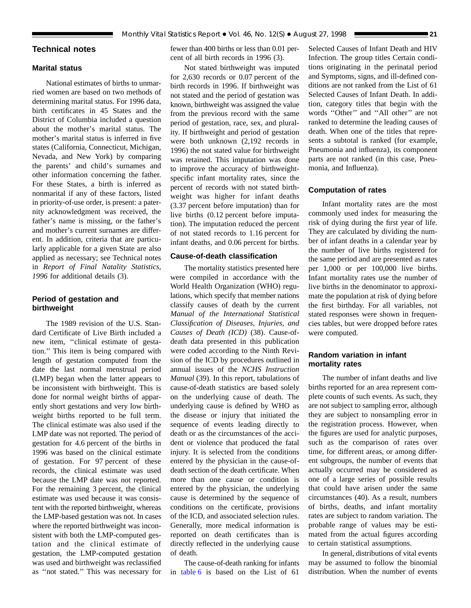## <span id="page-20-0"></span>**Technical notes**

## **Marital status**

National estimates of births to unmarried women are based on two methods of determining marital status. For 1996 data, birth certificates in 45 States and the District of Columbia included a question about the mother's marital status. The mother's marital status is inferred in five states (California, Connecticut, Michigan, Nevada, and New York) by comparing the parents' and child's surnames and other information concerning the father. For these States, a birth is inferred as nonmarital if any of these factors, listed in priority-of-use order, is present: a paternity acknowledgment was received, the father's name is missing, or the father's and mother's current surnames are different. In addition, criteria that are particularly applicable for a given State are also applied as necessary; see Technical notes in *Report of Final Natality Statistics, 1996* for additional details (3).

## **Period of gestation and birthweight**

The 1989 revision of the U.S. Standard Certificate of Live Birth included a new item, ''clinical estimate of gestation.'' This item is being compared with length of gestation computed from the date the last normal menstrual period (LMP) began when the latter appears to be inconsistent with birthweight. This is done for normal weight births of apparently short gestations and very low birthweight births reported to be full term. The clinical estimate was also used if the LMP date was not reported. The period of gestation for 4.6 percent of the births in 1996 was based on the clinical estimate of gestation. For 97 percent of these records, the clinical estimate was used because the LMP date was not reported. For the remaining 3 percent, the clinical estimate was used because it was consistent with the reported birthweight, whereas the LMP-based gestation was not. In cases where the reported birthweight was inconsistent with both the LMP-computed gestation and the clinical estimate of gestation, the LMP-computed gestation was used and birthweight was reclassified as ''not stated.'' This was necessary for fewer than 400 births or less than 0.01 percent of all birth records in 1996 (3).

## Not stated birthweight was imputed for 2,630 records or 0.07 percent of the birth records in 1996. If birthweight was not stated and the period of gestation was known, birthweight was assigned the value from the previous record with the same period of gestation, race, sex, and plurality. If birthweight and period of gestation were both unknown (2,192 records in 1996) the not stated value for birthweight was retained. This imputation was done to improve the accuracy of birthweightspecific infant mortality rates, since the percent of records with not stated birthweight was higher for infant deaths (3.37 percent before imputation) than for live births (0.12 percent before imputation). The imputation reduced the percent of not stated records to 1.16 percent for infant deaths, and 0.06 percent for births.

## **Cause-of-death classification**

The mortality statistics presented here were compiled in accordance with the World Health Organization (WHO) regulations, which specify that member nations classify causes of death by the current *Manual of the International Statistical Classification of Diseases, Injuries, and Causes of Death (ICD)* (38). Cause-ofdeath data presented in this publication were coded according to the Ninth Revision of the ICD by procedures outlined in annual issues of the *NCHS Instruction Manual* (39). In this report, tabulations of cause-of-death statistics are based solely on the underlying cause of death. The underlying cause is defined by WHO as the disease or injury that initiated the sequence of events leading directly to death or as the circumstances of the accident or violence that produced the fatal injury. It is selected from the conditions entered by the physician in the cause-ofdeath section of the death certificate. When more than one cause or condition is entered by the physician, the underlying cause is determined by the sequence of conditions on the certificate, provisions of the ICD, and associated selection rules. Generally, more medical information is reported on death certificates than is directly reflected in the underlying cause of death.

The cause-of-death ranking for infants in [table 6](#page-19-0) is based on the List of 61

Selected Causes of Infant Death and HIV Infection. The group titles Certain conditions originating in the perinatal period and Symptoms, signs, and ill-defined conditions are not ranked from the List of 61 Selected Causes of Infant Death. In addition, category titles that begin with the words ''Other'' and ''All other'' are not ranked to determine the leading causes of death. When one of the titles that represents a subtotal is ranked (for example, Pneumonia and influenza), its component parts are not ranked (in this case, Pneumonia, and Influenza).

#### **Computation of rates**

Infant mortality rates are the most commonly used index for measuring the risk of dying during the first year of life. They are calculated by dividing the number of infant deaths in a calendar year by the number of live births registered for the same period and are presented as rates per 1,000 or per 100,000 live births. Infant mortality rates use the number of live births in the denominator to approximate the population at risk of dying before the first birthday. For all variables, not stated responses were shown in frequencies tables, but were dropped before rates were computed.

## **Random variation in infant mortality rates**

The number of infant deaths and live births reported for an area represent complete counts of such events. As such, they are not subject to sampling error, although they are subject to nonsampling error in the registration process. However, when the figures are used for analytic purposes, such as the comparison of rates over time, for different areas, or among different subgroups, the number of events that actually occurred may be considered as one of a large series of possible results that could have arisen under the same circumstances (40). As a result, numbers of births, deaths, and infant mortality rates are subject to random variation. The probable range of values may be estimated from the actual figures according to certain statistical assumptions.

In general, distributions of vital events may be assumed to follow the binomial distribution. When the number of events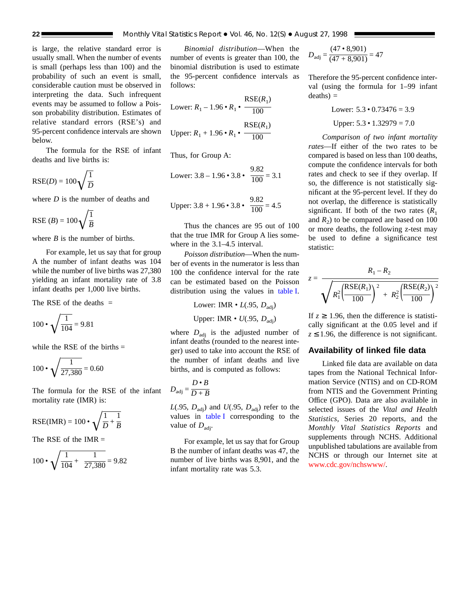is large, the relative standard error is usually small. When the number of events is small (perhaps less than 100) and the probability of such an event is small, considerable caution must be observed in interpreting the data. Such infrequent events may be assumed to follow a Poisson probability distribution. Estimates of relative standard errors (RSE's) and 95-percent confidence intervals are shown below.

The formula for the RSE of infant deaths and live births is:

$$
RSE(D) = 100\sqrt{\frac{1}{D}}
$$

where *D* is the number of deaths and

RSE (*B*) =  $100\sqrt{\frac{1}{B}}$ 

where *B* is the number of births.

For example, let us say that for group A the number of infant deaths was 104 while the number of live births was 27,380 yielding an infant mortality rate of 3.8 infant deaths per 1,000 live births.

The RSE of the deaths  $=$ 

$$
100 \cdot \sqrt{\frac{1}{104}} = 9.81
$$

while the RSE of the births  $=$ 

$$
100 \cdot \sqrt{\frac{1}{27,380}} = 0.60
$$

The formula for the RSE of the infant mortality rate (IMR) is:

$$
RSE(IMR) = 100 \cdot \sqrt{\frac{1}{D} + \frac{1}{B}}
$$

The RSE of the  $IMR =$ 

$$
100 \cdot \sqrt{\frac{1}{104} + \frac{1}{27,380}} = 9.82
$$

*Binomial distribution*—When the number of events is greater than 100, the binomial distribution is used to estimate the 95-percent confidence intervals as follows:

RSE(*R*1)

Lower: 
$$
R_1 - 1.96 \cdot R_1 \cdot \frac{\text{KSE}(R_1)}{100}
$$
  
Upper:  $R_1 + 1.96 \cdot R_1 \cdot \frac{\text{RSE}(R_1)}{100}$ 

Thus, for Group A:

Lower: 
$$
3.8 - 1.96 \cdot 3.8 \cdot \frac{9.82}{100} = 3.1
$$

Upper: 
$$
3.8 + 1.96 \cdot 3.8 \cdot \frac{9.82}{100} = 4.5
$$

Thus the chances are 95 out of 100 that the true IMR for Group A lies somewhere in the 3.1–4.5 interval.

*Poisson distribution*—When the number of events in the numerator is less than 100 the confidence interval for the rate can be estimated based on the Poisson distribution using the values in [table I.](#page-22-0)

Lower: IMR  $\cdot$  *L*(.95, *D*<sub>adj</sub>)

Upper: IMR • *U*(.95, *D*<sub>adj</sub>)

where  $D_{\text{adj}}$  is the adjusted number of infant deaths (rounded to the nearest integer) used to take into account the RSE of the number of infant deaths and live births, and is computed as follows:

$$
D_{\text{adj}} = \frac{D \cdot B}{D + B}
$$

 $L(.95, D<sub>adi</sub>)$  and  $U(.95, D<sub>adi</sub>)$  refer to the values in [table I](#page-22-0) corresponding to the value of  $D_{\text{adi}}$ .

For example, let us say that for Group B the number of infant deaths was 47, the number of live births was 8,901, and the infant mortality rate was 5.3.

$$
D_{\text{adj}} = \frac{(47 \cdot 8,901)}{(47 + 8,901)} = 47
$$

Therefore the 95-percent confidence interval (using the formula for 1–99 infant  $deaths) =$ 

Lower: 
$$
5.3 \cdot 0.73476 = 3.9
$$
  
Upper:  $5.3 \cdot 1.32979 = 7.0$ 

*Comparison of two infant mortality rates*—If either of the two rates to be compared is based on less than 100 deaths, compute the confidence intervals for both rates and check to see if they overlap. If so, the difference is not statistically significant at the 95-percent level. If they do not overlap, the difference is statistically significant. If both of the two rates  $(R_1)$ and  $R_2$ ) to be compared are based on 100 or more deaths, the following z-test may be used to define a significance test statistic:

$$
= \frac{R_1 - R_2}{\sqrt{R_1^2 \left(\frac{\text{RSE}(R_1)}{100}\right)^2 + R_2^2 \left(\frac{\text{RSE}(R_2)}{100}\right)^2}}
$$

*z* =

If  $z \geq 1.96$ , then the difference is statistically significant at the 0.05 level and if  $z \le 1.96$ , the difference is not significant.

## **Availability of linked file data**

Linked file data are available on data tapes from the National Technical Information Service (NTIS) and on CD-ROM from NTIS and the Government Printing Office (GPO). Data are also available in selected issues of the *Vital and Health Statistics,* Series 20 reports, and the *Monthly Vital Statistics Reports* and supplements through NCHS. Additional unpublished tabulations are available from NCHS or through our Internet site at [www.cdc.gov/nchswww/.](http://www.cdc.gov/nchswww/)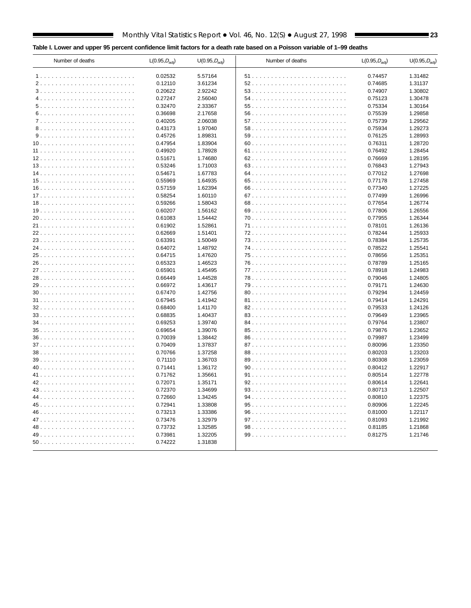## <span id="page-22-0"></span>**Table I. Lower and upper 95 percent confidence limit factors for a death rate based on a Poisson variable of 1–99 deaths**

| Number of deaths | L(0.95, D <sub>adj</sub> ) | U(0.95, D <sub>adj</sub> ) | Number of deaths | L(0.95, D <sub>adj</sub> ) | $U(0.95, D_{\text{adj}})$ |
|------------------|----------------------------|----------------------------|------------------|----------------------------|---------------------------|
|                  | 0.02532                    | 5.57164                    |                  | 0.74457                    | 1.31482                   |
|                  | 0.12110                    | 3.61234                    |                  | 0.74685                    | 1.31137                   |
|                  | 0.20622                    | 2.92242                    |                  | 0.74907                    | 1.30802                   |
|                  | 0.27247                    | 2.56040                    |                  | 0.75123                    | 1.30478                   |
|                  | 0.32470                    | 2.33367                    |                  | 0.75334                    | 1.30164                   |
|                  | 0.36698                    | 2.17658                    |                  | 0.75539                    | 1.29858                   |
|                  | 0.40205                    | 2.06038                    |                  | 0.75739                    | 1.29562                   |
|                  | 0.43173                    | 1.97040                    |                  | 0.75934                    | 1.29273                   |
|                  | 0.45726                    | 1.89831                    |                  | 0.76125                    | 1.28993                   |
|                  | 0.47954                    | 1.83904                    |                  | 0.76311                    | 1.28720                   |
|                  | 0.49920                    | 1.78928                    |                  | 0.76492                    | 1.28454                   |
|                  | 0.51671                    | 1.74680                    |                  | 0.76669                    | 1.28195                   |
|                  | 0.53246                    | 1.71003                    |                  | 0.76843                    | 1.27943                   |
|                  | 0.54671                    | 1.67783                    |                  | 0.77012                    | 1.27698                   |
|                  | 0.55969                    | 1.64935                    |                  | 0.77178                    | 1.27458                   |
|                  | 0.57159                    | 1.62394                    |                  | 0.77340                    | 1.27225                   |
|                  | 0.58254                    | 1.60110                    |                  | 0.77499                    | 1.26996                   |
|                  | 0.59266                    | 1.58043                    |                  | 0.77654                    | 1.26774                   |
|                  | 0.60207                    | 1.56162                    |                  | 0.77806                    | 1.26556                   |
|                  | 0.61083                    | 1.54442                    |                  | 0.77955                    | 1.26344                   |
|                  | 0.61902                    | 1.52861                    |                  | 0.78101                    | 1.26136                   |
|                  | 0.62669                    | 1.51401                    |                  | 0.78244                    | 1.25933                   |
|                  | 0.63391                    | 1.50049                    |                  | 0.78384                    | 1.25735                   |
|                  | 0.64072                    | 1.48792                    |                  | 0.78522                    | 1.25541                   |
|                  | 0.64715                    | 1.47620                    |                  | 0.78656                    | 1.25351                   |
|                  | 0.65323                    | 1.46523                    |                  | 0.78789                    | 1.25165                   |
|                  | 0.65901                    | 1.45495                    |                  | 0.78918                    | 1.24983                   |
|                  | 0.66449                    | 1.44528                    |                  | 0.79046                    | 1.24805                   |
|                  | 0.66972                    | 1.43617                    |                  | 0.79171                    | 1.24630                   |
|                  | 0.67470                    | 1.42756                    |                  | 0.79294                    | 1.24459                   |
|                  | 0.67945                    | 1.41942                    |                  | 0.79414                    | 1.24291                   |
|                  | 0.68400                    | 1.41170                    |                  | 0.79533                    | 1.24126                   |
|                  | 0.68835                    | 1.40437                    |                  | 0.79649                    | 1.23965                   |
|                  | 0.69253                    | 1.39740                    |                  | 0.79764                    | 1.23807                   |
|                  | 0.69654                    | 1.39076                    |                  | 0.79876                    | 1.23652                   |
|                  | 0.70039                    | 1.38442                    |                  | 0.79987                    | 1.23499                   |
|                  | 0.70409                    | 1.37837                    |                  | 0.80096                    | 1.23350                   |
|                  | 0.70766                    | 1.37258                    |                  | 0.80203                    | 1.23203                   |
|                  | 0.71110                    | 1.36703                    |                  | 0.80308                    | 1.23059                   |
|                  | 0.71441                    | 1.36172                    |                  | 0.80412                    | 1.22917                   |
|                  | 0.71762                    | 1.35661                    |                  | 0.80514                    | 1.22778                   |
|                  | 0.72071                    | 1.35171                    |                  | 0.80614                    | 1.22641                   |
|                  | 0.72370                    | 1.34699                    | 93.              | 0.80713                    | 1.22507                   |
|                  | 0.72660                    | 1.34245                    |                  | 0.80810                    | 1.22375                   |
|                  | 0.72941                    | 1.33808                    |                  | 0.80906                    | 1.22245                   |
| 46.              | 0.73213                    | 1.33386                    |                  | 0.81000                    | 1.22117                   |
|                  | 0.73476                    | 1.32979                    |                  | 0.81093                    | 1.21992                   |
|                  | 0.73732                    | 1.32585                    |                  | 0.81185                    | 1.21868                   |
|                  | 0.73981                    | 1.32205                    |                  | 0.81275                    | 1.21746                   |
|                  | 0.74222                    | 1.31838                    |                  |                            |                           |
|                  |                            |                            |                  |                            |                           |